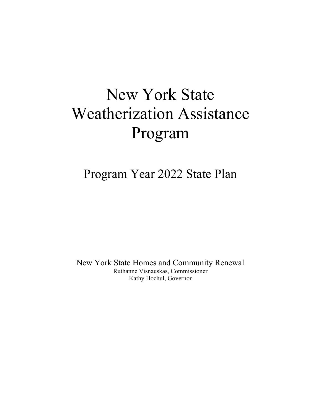# New York State Weatherization Assistance Program

Program Year 2022 State Plan

New York State Homes and Community Renewal Ruthanne Visnauskas, Commissioner Kathy Hochul, Governor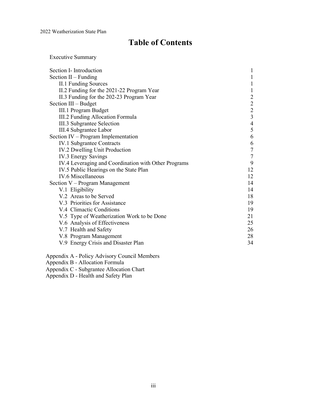# **Table of Contents**

Executive Summary

| Section I- Introduction                              |                                            |
|------------------------------------------------------|--------------------------------------------|
| Section $II$ – Funding                               |                                            |
| <b>II.1 Funding Sources</b>                          |                                            |
| II.2 Funding for the 2021-22 Program Year            | 1                                          |
| II.3 Funding for the 202-23 Program Year             | $\overline{c}$                             |
| Section III – Budget                                 |                                            |
| III.1 Program Budget                                 | $\begin{array}{c} 2 \\ 2 \\ 3 \end{array}$ |
| III.2 Funding Allocation Formula                     |                                            |
| III.3 Subgrantee Selection                           | $\overline{\mathbf{4}}$                    |
| III.4 Subgrantee Labor                               | 5                                          |
| Section IV – Program Implementation                  | 6                                          |
| <b>IV.1 Subgrantee Contracts</b>                     | $\sqrt{6}$                                 |
| IV.2 Dwelling Unit Production                        | $\boldsymbol{7}$                           |
| IV.3 Energy Savings                                  | $\tau$                                     |
| IV.4 Leveraging and Coordination with Other Programs | 9                                          |
| IV.5 Public Hearings on the State Plan               | 12                                         |
| IV.6 Miscellaneous                                   | 12                                         |
| Section $V - Program$ Management                     | 14                                         |
| V.1 Eligibility                                      | 14                                         |
| V.2 Areas to be Served                               | 18                                         |
| V.3 Priorities for Assistance                        | 19                                         |
| V.4 Climactic Conditions                             | 19                                         |
| V.5 Type of Weatherization Work to be Done           | 21                                         |
| V.6 Analysis of Effectiveness                        | 25                                         |
| V.7 Health and Safety                                | 26                                         |
| V.8 Program Management                               | 28                                         |
| V.9 Energy Crisis and Disaster Plan                  | 34                                         |

Appendix A - Policy Advisory Council Members

Appendix B - Allocation Formula

Appendix C - Subgrantee Allocation Chart

Appendix D - Health and Safety Plan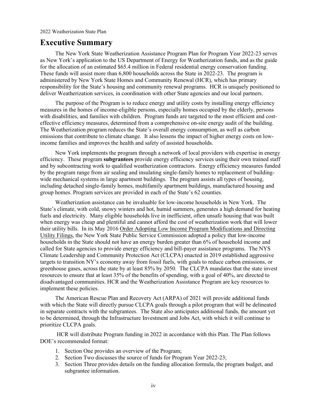### **Executive Summary**

The New York State Weatherization Assistance Program Plan for Program Year 2022-23 serves as New York's application to the US Department of Energy for Weatherization funds, and as the guide for the allocation of an estimated \$65.4 million in Federal residential energy conservation funding. These funds will assist more than 6,800 households across the State in 2022-23. The program is administered by New York State Homes and Community Renewal (HCR), which has primary responsibility for the State's housing and community renewal programs. HCR is uniquely positioned to deliver Weatherization services, in coordination with other State agencies and our local partners.

The purpose of the Program is to reduce energy and utility costs by installing energy efficiency measures in the homes of income-eligible persons, especially homes occupied by the elderly, persons with disabilities, and families with children. Program funds are targeted to the most efficient and costeffective efficiency measures, determined from a comprehensive on-site energy audit of the building. The Weatherization program reduces the State's overall energy consumption, as well as carbon emissions that contribute to climate change. It also lessens the impact of higher energy costs on lowincome families and improves the health and safety of assisted households.

New York implements the program through a network of local providers with expertise in energy efficiency. These program **subgrantees** provide energy efficiency services using their own trained staff and by subcontracting work to qualified weatherization contractors. Energy efficiency measures funded by the program range from air sealing and insulating single-family homes to replacement of buildingwide mechanical systems in large apartment buildings. The program assists all types of housing, including detached single-family homes, multifamily apartment buildings, manufactured housing and group homes. Program services are provided in each of the State's 62 counties.

Weatherization assistance can be invaluable for low-income households in New York. The State's climate, with cold, snowy winters and hot, humid summers, generates a high demand for heating fuels and electricity. Many eligible households live in inefficient, often unsafe housing that was built when energy was cheap and plentiful and cannot afford the cost of weatherization work that will lower their utility bills. In its May 2016 Order Adopting Low Income Program Modifications and Directing Utility Filings, the New York State Public Service Commission adopted a policy that low-income households in the State should not have an energy burden greater than 6% of household income and called for State agencies to provide energy efficiency and bill-payer assistance programs. The NYS Climate Leadership and Community Protection Act (CLCPA) enacted in 2019 established aggressive targets to transition NY's economy away from fossil fuels, with goals to reduce carbon emissions, or greenhouse gases, across the state by at least 85% by 2050. The CLCPA mandates that the state invest resources to ensure that at least 35% of the benefits of spending, with a goal of 40%, are directed to disadvantaged communities. HCR and the Weatherization Assistance Program are key resources to implement these policies.

The American Rescue Plan and Recovery Act (ARPA) of 2021 will provide additional funds with which the State will directly pursue CLCPA goals through a pilot program that will be delineated in separate contracts with the subgrantees. The State also anticipates additional funds, the amount yet to be determined, through the Infrastructure Investment and Jobs Act, with which it will continue to prioritize CLCPA goals.

HCR will distribute Program funding in 2022 in accordance with this Plan. The Plan follows DOE's recommended format:

- 1. Section One provides an overview of the Program;
- 2. Section Two discusses the source of funds for Program Year 2022-23;
- 3. Section Three provides details on the funding allocation formula, the program budget, and subgrantee information.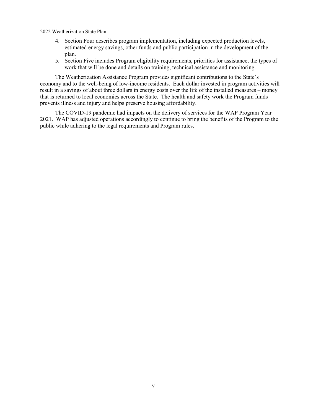- 4. Section Four describes program implementation, including expected production levels, estimated energy savings, other funds and public participation in the development of the plan.
- 5. Section Five includes Program eligibility requirements, priorities for assistance, the types of work that will be done and details on training, technical assistance and monitoring.

The Weatherization Assistance Program provides significant contributions to the State's economy and to the well-being of low-income residents. Each dollar invested in program activities will result in a savings of about three dollars in energy costs over the life of the installed measures – money that is returned to local economies across the State. The health and safety work the Program funds prevents illness and injury and helps preserve housing affordability.

The COVID-19 pandemic had impacts on the delivery of services for the WAP Program Year 2021. WAP has adjusted operations accordingly to continue to bring the benefits of the Program to the public while adhering to the legal requirements and Program rules.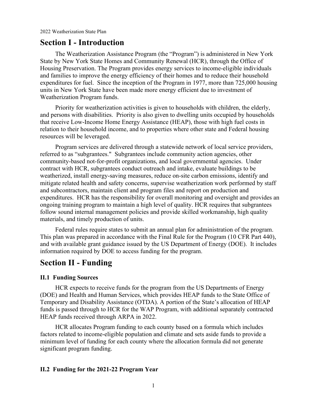### **Section I - Introduction**

The Weatherization Assistance Program (the "Program") is administered in New York State by New York State Homes and Community Renewal (HCR), through the Office of Housing Preservation. The Program provides energy services to income-eligible individuals and families to improve the energy efficiency of their homes and to reduce their household expenditures for fuel. Since the inception of the Program in 1977, more than 725,000 housing units in New York State have been made more energy efficient due to investment of Weatherization Program funds.

Priority for weatherization activities is given to households with children, the elderly, and persons with disabilities. Priority is also given to dwelling units occupied by households that receive Low-Income Home Energy Assistance (HEAP), those with high fuel costs in relation to their household income, and to properties where other state and Federal housing resources will be leveraged.

Program services are delivered through a statewide network of local service providers, referred to as "subgrantees." Subgrantees include community action agencies, other community-based not-for-profit organizations, and local governmental agencies. Under contract with HCR, subgrantees conduct outreach and intake, evaluate buildings to be weatherized, install energy-saving measures, reduce on-site carbon emissions, identify and mitigate related health and safety concerns, supervise weatherization work performed by staff and subcontractors, maintain client and program files and report on production and expenditures. HCR has the responsibility for overall monitoring and oversight and provides an ongoing training program to maintain a high level of quality. HCR requires that subgrantees follow sound internal management policies and provide skilled workmanship, high quality materials, and timely production of units.

Federal rules require states to submit an annual plan for administration of the program. This plan was prepared in accordance with the Final Rule for the Program (10 CFR Part 440), and with available grant guidance issued by the US Department of Energy (DOE). It includes information required by DOE to access funding for the program.

## **Section II - Funding**

### **II.1 Funding Sources**

HCR expects to receive funds for the program from the US Departments of Energy (DOE) and Health and Human Services, which provides HEAP funds to the State Office of Temporary and Disability Assistance (OTDA). A portion of the State's allocation of HEAP funds is passed through to HCR for the WAP Program, with additional separately contracted HEAP funds received through ARPA in 2022.

HCR allocates Program funding to each county based on a formula which includes factors related to income-eligible population and climate and sets aside funds to provide a minimum level of funding for each county where the allocation formula did not generate significant program funding.

### **II.2 Funding for the 2021-22 Program Year**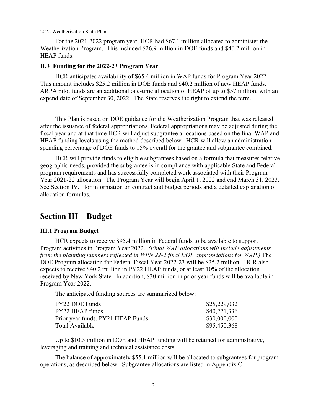For the 2021-2022 program year, HCR had \$67.1 million allocated to administer the Weatherization Program. This included \$26.9 million in DOE funds and \$40.2 million in HEAP funds.

### **II.3 Funding for the 2022-23 Program Year**

HCR anticipates availability of \$65.4 million in WAP funds for Program Year 2022. This amount includes \$25.2 million in DOE funds and \$40.2 million of new HEAP funds. ARPA pilot funds are an additional one-time allocation of HEAP of up to \$57 million, with an expend date of September 30, 2022. The State reserves the right to extend the term.

This Plan is based on DOE guidance for the Weatherization Program that was released after the issuance of federal appropriations. Federal appropriations may be adjusted during the fiscal year and at that time HCR will adjust subgrantee allocations based on the final WAP and HEAP funding levels using the method described below. HCR will allow an administration spending percentage of DOE funds to 15% overall for the grantee and subgrantee combined.

HCR will provide funds to eligible subgrantees based on a formula that measures relative geographic needs, provided the subgrantee is in compliance with applicable State and Federal program requirements and has successfully completed work associated with their Program Year 2021-22 allocation. The Program Year will begin April 1, 2022 and end March 31, 2023. See Section IV.1 for information on contract and budget periods and a detailed explanation of allocation formulas.

### **Section III – Budget**

### **III.1 Program Budget**

HCR expects to receive \$95.4 million in Federal funds to be available to support Program activities in Program Year 2022. *(Final WAP allocations will include adjustments from the planning numbers reflected in WPN 22-2 final DOE appropriations for WAP.)* The DOE Program allocation for Federal Fiscal Year 2022-23 will be \$25.2 million. HCR also expects to receive \$40.2 million in PY22 HEAP funds, or at least 10% of the allocation received by New York State. In addition, \$30 million in prior year funds will be available in Program Year 2022.

The anticipated funding sources are summarized below:

| \$25,229,032 |
|--------------|
| \$40,221,336 |
| \$30,000,000 |
| \$95,450,368 |
|              |

Up to \$10.3 million in DOE and HEAP funding will be retained for administrative, leveraging and training and technical assistance costs.

The balance of approximately \$55.1 million will be allocated to subgrantees for program operations, as described below. Subgrantee allocations are listed in Appendix C.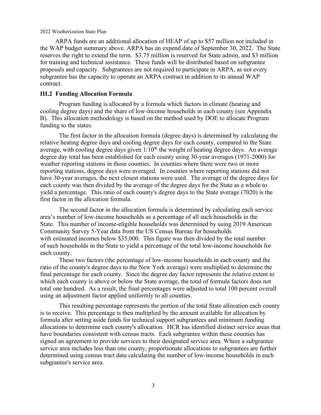ARPA funds are an additional allocation of HEAP of up to \$57 million not included in the WAP budget summary above. ARPA has an expend date of September 30, 2022. The State reserves the right to extend the term. \$3.75 million is reserved for State admin, and \$3 million for training and technical assistance. These funds will be distributed based on subgrantee proposals and capacity. Subgrantees are not required to participate in ARPA, as not every subgrantee has the capacity to operate an ARPA contract in addition to its annual WAP contract.

### **III.2 Funding Allocation Formula**

Program funding is allocated by a formula which factors in climate (heating and cooling degree days) and the share of low-income households in each county (see Appendix B). This allocation methodology is based on the method used by DOE to allocate Program funding to the states.

The first factor in the allocation formula (degree days) is determined by calculating the relative heating degree days and cooling degree days for each county, compared to the State average, with cooling degree days given  $1/10<sup>th</sup>$  the weight of heating degree days. An average degree day total has been established for each county using 30-year averages (1971-2000) for weather reporting stations in those counties. In counties where there were two or more reporting stations, degree days were averaged. In counties where reporting stations did not have 30-year averages, the next closest stations were used. The average of the degree days for each county was then divided by the average of the degree days for the State as a whole to yield a percentage. This ratio of each county's degree days to the State average (7020) is the first factor in the allocation formula.

The second factor in the allocation formula is determined by calculating each service area's number of low-income households as a percentage of all such households in the State. This number of income-eligible households was determined by using 2019 American Community Survey 5-Year data from the US Census Bureau for households with estimated incomes below \$35,000. This figure was then divided by the total number of such households in the State to yield a percentage of the total low-income households for each county.

These two factors (the percentage of low-income households in each county and the ratio of the county's degree days to the New York average) were multiplied to determine the final percentage for each county. Since the degree day factor represents the relative extent to which each county is above or below the State average, the total of formula factors does not total one hundred. As a result, the final percentages were adjusted to total 100 percent overall using an adjustment factor applied uniformly to all counties.

This resulting percentage represents the portion of the total State allocation each county is to receive. This percentage is then multiplied by the amount available for allocation by formula after setting aside funds for technical support subgrantees and minimum funding allocations to determine each county's allocation. HCR has identified distinct service areas that have boundaries consistent with census tracts. Each subgrantee within these counties has signed an agreement to provide services to their designated service area. Where a subgrantee service area includes less than one county, proportionate allocations to subgrantees are further determined using census tract data calculating the number of low-income households in each subgrantee's service area.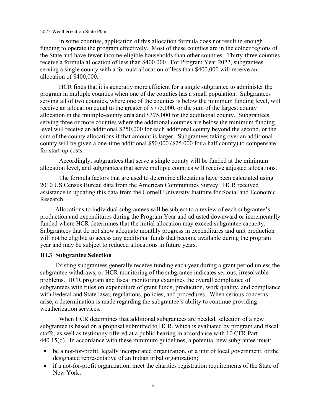In some counties, application of this allocation formula does not result in enough funding to operate the program effectively. Most of these counties are in the colder regions of the State and have fewer income-eligible households than other counties. Thirty-three counties receive a formula allocation of less than \$400,000. For Program Year 2022, subgrantees serving a single county with a formula allocation of less than \$400,000 will receive an allocation of \$400,000.

HCR finds that it is generally more efficient for a single subgrantee to administer the program in multiple counties when one of the counties has a small population. Subgrantees serving all of two counties, where one of the counties is below the minimum funding level, will receive an allocation equal to the greater of \$775,000, or the sum of the largest county allocation in the multiple-county area and \$375,000 for the additional county. Subgrantees serving three or more counties where the additional counties are below the minimum funding level will receive an additional \$250,000 for each additional county beyond the second, or the sum of the county allocations if that amount is larger. Subgrantees taking over an additional county will be given a one-time additional \$50,000 (\$25,000 for a half county) to compensate for start-up costs.

Accordingly, subgrantees that serve a single county will be funded at the minimum allocation level, and subgrantees that serve multiple counties will receive adjusted allocations.

The formula factors that are used to determine allocations have been calculated using 2010 US Census Bureau data from the American Communities Survey. HCR received assistance in updating this data from the Cornell University Institute for Social and Economic Research.

Allocations to individual subgrantees will be subject to a review of each subgrantee's production and expenditures during the Program Year and adjusted downward or incrementally funded where HCR determines that the initial allocation may exceed subgrantee capacity. Subgrantees that do not show adequate monthly progress in expenditures and unit production will not be eligible to access any additional funds that become available during the program year and may be subject to reduced allocations in future years.

### **III.3 Subgrantee Selection**

Existing subgrantees generally receive funding each year during a grant period unless the subgrantee withdraws, or HCR monitoring of the subgrantee indicates serious, irresolvable problems. HCR program and fiscal monitoring examines the overall compliance of subgrantees with rules on expenditure of grant funds, production, work quality, and compliance with Federal and State laws, regulations, policies, and procedures. When serious concerns arise, a determination is made regarding the subgrantee's ability to continue providing weatherization services.

When HCR determines that additional subgrantees are needed, selection of a new subgrantee is based on a proposal submitted to HCR, which is evaluated by program and fiscal staffs, as well as testimony offered at a public hearing in accordance with 10 CFR Part 440.15(d). In accordance with these minimum guidelines, a potential new subgrantee must:

- be a not-for-profit, legally incorporated organization, or a unit of local government, or the designated representative of an Indian tribal organization;
- if a not-for-profit organization, meet the charities registration requirements of the State of New York;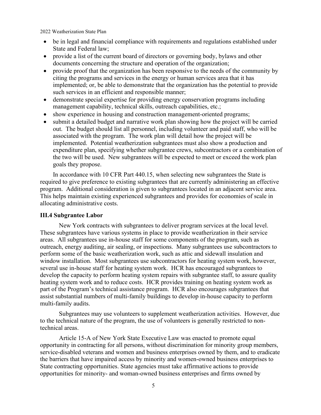- be in legal and financial compliance with requirements and regulations established under State and Federal law;
- provide a list of the current board of directors or governing body, bylaws and other documents concerning the structure and operation of the organization;
- provide proof that the organization has been responsive to the needs of the community by citing the programs and services in the energy or human services area that it has implemented; or, be able to demonstrate that the organization has the potential to provide such services in an efficient and responsible manner;
- demonstrate special expertise for providing energy conservation programs including management capability, technical skills, outreach capabilities, etc.;
- show experience in housing and construction management-oriented programs;
- submit a detailed budget and narrative work plan showing how the project will be carried out. The budget should list all personnel, including volunteer and paid staff, who will be associated with the program. The work plan will detail how the project will be implemented. Potential weatherization subgrantees must also show a production and expenditure plan, specifying whether subgrantee crews, subcontractors or a combination of the two will be used. New subgrantees will be expected to meet or exceed the work plan goals they propose.

In accordance with 10 CFR Part 440.15, when selecting new subgrantees the State is required to give preference to existing subgrantees that are currently administering an effective program. Additional consideration is given to subgrantees located in an adjacent service area. This helps maintain existing experienced subgrantees and provides for economies of scale in allocating administrative costs.

### **III.4 Subgrantee Labor**

New York contracts with subgrantees to deliver program services at the local level. These subgrantees have various systems in place to provide weatherization in their service areas. All subgrantees use in-house staff for some components of the program, such as outreach, energy auditing, air sealing, or inspections. Many subgrantees use subcontractors to perform some of the basic weatherization work, such as attic and sidewall insulation and window installation. Most subgrantees use subcontractors for heating system work, however, several use in-house staff for heating system work. HCR has encouraged subgrantees to develop the capacity to perform heating system repairs with subgrantee staff, to assure quality heating system work and to reduce costs. HCR provides training on heating system work as part of the Program's technical assistance program. HCR also encourages subgrantees that assist substantial numbers of multi-family buildings to develop in-house capacity to perform multi-family audits.

Subgrantees may use volunteers to supplement weatherization activities. However, due to the technical nature of the program, the use of volunteers is generally restricted to nontechnical areas.

Article 15-A of New York State Executive Law was enacted to promote equal opportunity in contracting for all persons, without discrimination for minority group members, service-disabled veterans and women and business enterprises owned by them, and to eradicate the barriers that have impaired access by minority and women-owned business enterprises to State contracting opportunities. State agencies must take affirmative actions to provide opportunities for minority- and woman-owned business enterprises and firms owned by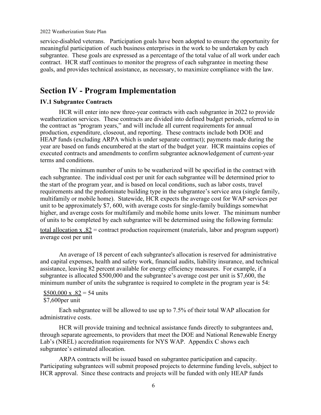service-disabled veterans. Participation goals have been adopted to ensure the opportunity for meaningful participation of such business enterprises in the work to be undertaken by each subgrantee. These goals are expressed as a percentage of the total value of all work under each contract. HCR staff continues to monitor the progress of each subgrantee in meeting these goals, and provides technical assistance, as necessary, to maximize compliance with the law.

# **Section IV - Program Implementation**

### **IV.1 Subgrantee Contracts**

HCR will enter into new three-year contracts with each subgrantee in 2022 to provide weatherization services. These contracts are divided into defined budget periods, referred to in the contract as "program years," and will include all current requirements for annual production, expenditure, closeout, and reporting. These contracts include both DOE and HEAP funds (excluding ARPA which is under separate contract); payments made during the year are based on funds encumbered at the start of the budget year. HCR maintains copies of executed contracts and amendments to confirm subgrantee acknowledgement of current-year terms and conditions.

The minimum number of units to be weatherized will be specified in the contract with each subgrantee. The individual cost per unit for each subgrantee will be determined prior to the start of the program year, and is based on local conditions, such as labor costs, travel requirements and the predominate building type in the subgrantee's service area (single family, multifamily or mobile home). Statewide, HCR expects the average cost for WAP services per unit to be approximately \$7, 600, with average costs for single-family buildings somewhat higher, and average costs for multifamily and mobile home units lower. The minimum number of units to be completed by each subgrantee will be determined using the following formula:

total allocation  $x .82$  = contract production requirement (materials, labor and program support) average cost per unit

An average of 18 percent of each subgrantee's allocation is reserved for administrative and capital expenses, health and safety work, financial audits, liability insurance, and technical assistance, leaving 82 percent available for energy efficiency measures. For example, if a subgrantee is allocated \$500,000 and the subgrantee's average cost per unit is \$7,600, the minimum number of units the subgrantee is required to complete in the program year is 54:

 $$500,000 \text{ x } .82 = 54 \text{ units}$ \$7,600per unit

Each subgrantee will be allowed to use up to 7.5% of their total WAP allocation for administrative costs.

HCR will provide training and technical assistance funds directly to subgrantees and, through separate agreements, to providers that meet the DOE and National Renewable Energy Lab's (NREL) accreditation requirements for NYS WAP. Appendix C shows each subgrantee's estimated allocation.

ARPA contracts will be issued based on subgrantee participation and capacity. Participating subgrantees will submit proposed projects to determine funding levels, subject to HCR approval. Since these contracts and projects will be funded with only HEAP funds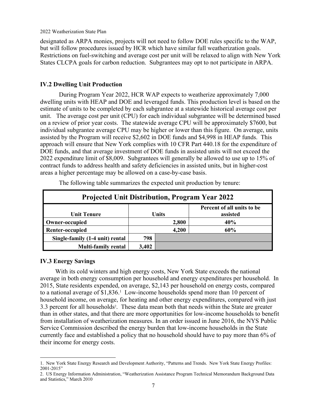designated as ARPA monies, projects will not need to follow DOE rules specific to the WAP, but will follow procedures issued by HCR which have similar full weatherization goals. Restrictions on fuel-switching and average cost per unit will be relaxed to align with New York States CLCPA goals for carbon reduction. Subgrantees may opt to not participate in ARPA.

### **IV.2 Dwelling Unit Production**

During Program Year 2022, HCR WAP expects to weatherize approximately 7,000 dwelling units with HEAP and DOE and leveraged funds. This production level is based on the estimate of units to be completed by each subgrantee at a statewide historical average cost per unit. The average cost per unit (CPU) for each individual subgrantee will be determined based on a review of prior year costs. The statewide average CPU will be approximately \$7600, but individual subgrantee average CPU may be higher or lower than this figure. On average, units assisted by the Program will receive \$2,602 in DOE funds and \$4,998 in HEAP funds. This approach will ensure that New York complies with 10 CFR Part 440.18 for the expenditure of DOE funds, and that average investment of DOE funds in assisted units will not exceed the 2022 expenditure limit of \$8,009. Subgrantees will generally be allowed to use up to 15% of contract funds to address health and safety deficiencies in assisted units, but in higher-cost areas a higher percentage may be allowed on a case-by-case basis.

| <b>Projected Unit Distribution, Program Year 2022</b> |                                                 |       |     |  |  |
|-------------------------------------------------------|-------------------------------------------------|-------|-----|--|--|
| <b>Unit Tenure</b>                                    | Percent of all units to be<br>assisted<br>Units |       |     |  |  |
| Owner-occupied                                        | 2,800                                           |       | 40% |  |  |
| <b>Renter-occupied</b>                                |                                                 | 4,200 | 60% |  |  |
| Single-family (1-4 unit) rental                       | 798                                             |       |     |  |  |
| <b>Multi-family rental</b>                            | 3,402                                           |       |     |  |  |

The following table summarizes the expected unit production by tenure:

### **IV.3 Energy Savings**

With its cold winters and high energy costs, New York State exceeds the national average in both energy consumption per household and energy expenditures per household. In 2015, State residents expended, on average, \$2,143 per household on energy costs, compared to a national average of \$1,836. 1 Low-income households spend more than 10 percent of household income, on average, for heating and other energy expenditures, compared with just 3.3 percent for all households2. These data mean both that needs within the State are greater than in other states, and that there are more opportunities for low-income households to benefit from installation of weatherization measures. In an order issued in June 2016, the NYS Public Service Commission described the energy burden that low-income households in the State currently face and established a policy that no household should have to pay more than 6% of their income for energy costs.

<sup>1.</sup> New York State Energy Research and Development Authority, "Patterns and Trends. New York State Energy Profiles: 2001-2015"

<sup>2.</sup> US Energy Information Administration, "Weatherization Assistance Program Technical Memorandum Background Data and Statistics," March 2010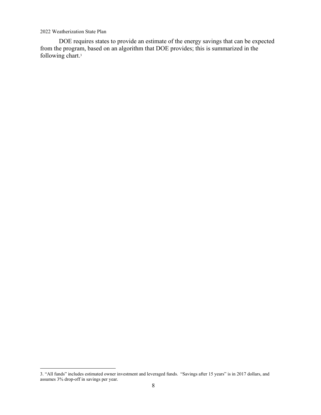DOE requires states to provide an estimate of the energy savings that can be expected from the program, based on an algorithm that DOE provides; this is summarized in the following chart.3

<sup>3. &</sup>quot;All funds" includes estimated owner investment and leveraged funds. "Savings after 15 years" is in 2017 dollars, and assumes 3% drop-off in savings per year.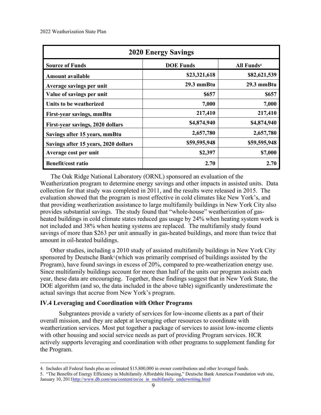| <b>2020 Energy Savings</b>           |                  |                        |  |  |
|--------------------------------------|------------------|------------------------|--|--|
| <b>Source of Funds</b>               | <b>DOE Funds</b> | All Funds <sup>4</sup> |  |  |
| <b>Amount available</b>              | \$23,321,618     | \$82,621,539           |  |  |
| Average savings per unit             | 29.3 mmBtu       | 29.3 mmBtu             |  |  |
| Value of savings per unit            | \$657            | \$657                  |  |  |
| Units to be weatherized              | 7,000            | 7,000                  |  |  |
| First-year savings, mmBtu            | 217,410          | 217,410                |  |  |
| First-year savings, 2020 dollars     | \$4,874,940      | \$4,874,940            |  |  |
| Savings after 15 years, mmBtu        | 2,657,780        | 2,657,780              |  |  |
| Savings after 15 years, 2020 dollars | \$59,595,948     | \$59,595,948           |  |  |
| Average cost per unit                | \$2,397          | \$7,000                |  |  |
| <b>Benefit/cost ratio</b>            | 2.70             | 2.70                   |  |  |

The Oak Ridge National Laboratory (ORNL) sponsored an evaluation of the Weatherization program to determine energy savings and other impacts in assisted units. Data collection for that study was completed in 2011, and the results were released in 2015. The evaluation showed that the program is most effective in cold climates like New York's, and that providing weatherization assistance to large multifamily buildings in New York City also provides substantial savings. The study found that "whole-house" weatherization of gasheated buildings in cold climate states reduced gas usage by 24% when heating system work is not included and 38% when heating systems are replaced. The multifamily study found savings of more than \$263 per unit annually in gas-heated buildings, and more than twice that amount in oil-heated buildings.

Other studies, including a 2010 study of assisted multifamily buildings in New York City sponsored by Deutsche Bank<sup>5</sup> (which was primarily comprised of buildings assisted by the Program), have found savings in excess of 20%, compared to pre-weatherization energy use. Since multifamily buildings account for more than half of the units our program assists each year, these data are encouraging. Together, these findings suggest that in New York State, the DOE algorithm (and so, the data included in the above table) significantly underestimate the actual savings that accrue from New York's program.

### **IV.4 Leveraging and Coordination with Other Programs**

Subgrantees provide a variety of services for low-income clients as a part of their overall mission, and they are adept at leveraging other resources to coordinate with weatherization services. Most put together a package of services to assist low-income clients with other housing and social service needs as part of providing Program services. HCR actively supports leveraging and coordination with other programs to supplement funding for the Program.

<sup>4.</sup> Includes all Federal funds plus an estimated \$15,800,000 in owner contributions and other leveraged funds.

<sup>5. &</sup>quot;The Benefits of Energy Efficiency in Multifamily Affordable Housing," Deutsche Bank Americas Foundation web site, January 10, 201[1http://www.db.com/usa/content/en/ee\\_in\\_multifamily\\_underwriting.html](http://www.db.com/usa/content/en/ee_in_multifamily_underwriting.html)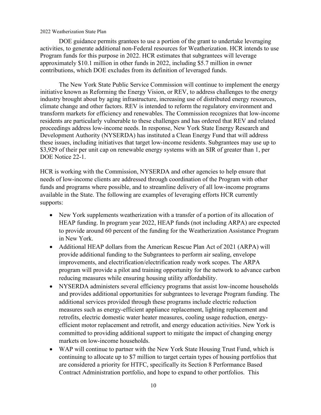DOE guidance permits grantees to use a portion of the grant to undertake leveraging activities, to generate additional non-Federal resources for Weatherization. HCR intends to use Program funds for this purpose in 2022. HCR estimates that subgrantees will leverage approximately \$10.1 million in other funds in 2022, including \$5.7 million in owner contributions, which DOE excludes from its definition of leveraged funds.

The New York State Public Service Commission will continue to implement the energy initiative known as Reforming the Energy Vision, or REV, to address challenges to the energy industry brought about by aging infrastructure, increasing use of distributed energy resources, climate change and other factors. REV is intended to reform the regulatory environment and transform markets for efficiency and renewables. The Commission recognizes that low-income residents are particularly vulnerable to these challenges and has ordered that REV and related proceedings address low-income needs. In response, New York State Energy Research and Development Authority (NYSERDA) has instituted a Clean Energy Fund that will address these issues, including initiatives that target low-income residents. Subgrantees may use up to \$3,929 of their per unit cap on renewable energy systems with an SIR of greater than 1, per DOE Notice 22-1.

HCR is working with the Commission, NYSERDA and other agencies to help ensure that needs of low-income clients are addressed through coordination of the Program with other funds and programs where possible, and to streamline delivery of all low-income programs available in the State. The following are examples of leveraging efforts HCR currently supports:

- New York supplements weatherization with a transfer of a portion of its allocation of HEAP funding. In program year 2022, HEAP funds (not including ARPA) are expected to provide around 60 percent of the funding for the Weatherization Assistance Program in New York.
- Additional HEAP dollars from the American Rescue Plan Act of 2021 (ARPA) will provide additional funding to the Subgrantees to perform air sealing, envelope improvements, and electrification/electrification ready work scopes. The ARPA program will provide a pilot and training opportunity for the network to advance carbon reducing measures while ensuring housing utility affordability.
- NYSERDA administers several efficiency programs that assist low-income households and provides additional opportunities for subgrantees to leverage Program funding. The additional services provided through these programs include electric reduction measures such as energy-efficient appliance replacement, lighting replacement and retrofits, electric domestic water heater measures, cooling usage reduction, energyefficient motor replacement and retrofit, and energy education activities. New York is committed to providing additional support to mitigate the impact of changing energy markets on low-income households.
- WAP will continue to partner with the New York State Housing Trust Fund, which is continuing to allocate up to \$7 million to target certain types of housing portfolios that are considered a priority for HTFC, specifically its Section 8 Performance Based Contract Administration portfolio, and hope to expand to other portfolios. This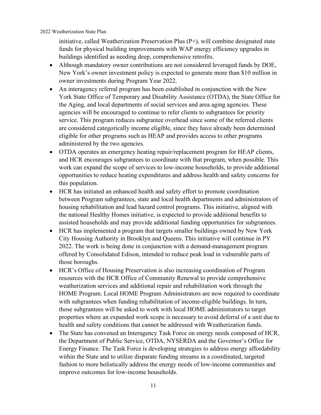initiative, called Weatherization Preservation Plus (P+), will combine designated state funds for physical building improvements with WAP energy efficiency upgrades in buildings identified as needing deep, comprehensive retrofits.

- Although mandatory owner contributions are not considered leveraged funds by DOE, New York's owner investment policy is expected to generate more than \$10 million in owner investments during Program Year 2022.
- An interagency referral program has been established in conjunction with the New York State Office of Temporary and Disability Assistance (OTDA), the State Office for the Aging, and local departments of social services and area aging agencies. These agencies will be encouraged to continue to refer clients to subgrantees for priority service. This program reduces subgrantee overhead since some of the referred clients are considered categorically income eligible, since they have already been determined eligible for other programs such as HEAP and provides access to other programs administered by the two agencies.
- OTDA operates an emergency heating repair/replacement program for HEAP clients, and HCR encourages subgrantees to coordinate with that program, when possible. This work can expand the scope of services to low-income households, to provide additional opportunities to reduce heating expenditures and address health and safety concerns for this population.
- HCR has initiated an enhanced health and safety effort to promote coordination between Program subgrantees, state and local health departments and administrators of housing rehabilitation and lead hazard control programs. This initiative, aligned with the national Healthy Homes initiative, is expected to provide additional benefits to assisted households and may provide additional funding opportunities for subgrantees.
- HCR has implemented a program that targets smaller buildings owned by New York City Housing Authority in Brooklyn and Queens. This initiative will continue in PY 2022. The work is being done in conjunction with a demand-management program offered by Consolidated Edison, intended to reduce peak load in vulnerable parts of those boroughs.
- HCR's Office of Housing Preservation is also increasing coordination of Program resources with the HCR Office of Community Renewal to provide comprehensive weatherization services and additional repair and rehabilitation work through the HOME Program. Local HOME Program Administrators are now required to coordinate with subgrantees when funding rehabilitation of income-eligible buildings. In turn, those subgrantees will be asked to work with local HOME administrators to target properties where an expanded work scope is necessary to avoid deferral of a unit due to health and safety conditions that cannot be addressed with Weatherization funds.
- The State has convened an Interagency Task Force on energy needs composed of HCR, the Department of Public Service, OTDA, NYSERDA and the Governor's Office for Energy Finance. The Task Force is developing strategies to address energy affordability within the State and to utilize disparate funding streams in a coordinated, targeted fashion to more holistically address the energy needs of low-income communities and improve outcomes for low-income households.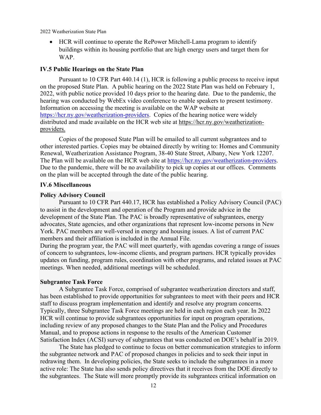• HCR will continue to operate the RePower Mitchell-Lama program to identify buildings within its housing portfolio that are high energy users and target them for WAP.

### **IV.5 Public Hearings on the State Plan**

Pursuant to 10 CFR Part 440.14 (1), HCR is following a public process to receive input on the proposed State Plan. A public hearing on the 2022 State Plan was held on February 1, 2022, with public notice provided 10 days prior to the hearing date. Due to the pandemic, the hearing was conducted by WebEx video conference to enable speakers to present testimony. Information on accessing the meeting is available on the WAP website at [https://hcr.ny.gov/weatherization-providers.](https://hcr.ny.gov/weatherization-providers) Copies of the hearing notice were widely distributed and made available on the HCR web site at https://hcr.ny.gov/weatherizationproviders.

Copies of the proposed State Plan will be emailed to all current subgrantees and to other interested parties. Copies may be obtained directly by writing to: Homes and Community Renewal, Weatherization Assistance Program, 38-40 State Street, Albany, New York 12207. The Plan will be available on the HCR web site at [https://hcr.ny.gov/weatherization-providers.](https://hcr.ny.gov/weatherization-providers) Due to the pandemic, there will be no availability to pick up copies at our offices. Comments on the plan will be accepted through the date of the public hearing.

### **IV.6 Miscellaneous**

### **Policy Advisory Council**

Pursuant to 10 CFR Part 440.17, HCR has established a Policy Advisory Council (PAC) to assist in the development and operation of the Program and provide advice in the development of the State Plan. The PAC is broadly representative of subgrantees, energy advocates, State agencies, and other organizations that represent low-income persons in New York. PAC members are well-versed in energy and housing issues. A list of current PAC members and their affiliation is included in the Annual File.

During the program year, the PAC will meet quarterly, with agendas covering a range of issues of concern to subgrantees, low-income clients, and program partners. HCR typically provides updates on funding, program rules, coordination with other programs, and related issues at PAC meetings. When needed, additional meetings will be scheduled.

### **Subgrantee Task Force**

A Subgrantee Task Force, comprised of subgrantee weatherization directors and staff, has been established to provide opportunities for subgrantees to meet with their peers and HCR staff to discuss program implementation and identify and resolve any program concerns. Typically, three Subgrantee Task Force meetings are held in each region each year. In 2022 HCR will continue to provide subgrantees opportunities for input on program operations, including review of any proposed changes to the State Plan and the Policy and Procedures Manual, and to propose actions in response to the results of the American Customer Satisfaction Index (ACSI) survey of subgrantees that was conducted on DOE's behalf in 2019.

The State has pledged to continue to focus on better communication strategies to inform the subgrantee network and PAC of proposed changes in policies and to seek their input in redrawing them. In developing policies, the State seeks to include the subgrantees in a more active role: The State has also sends policy directives that it receives from the DOE directly to the subgrantees. The State will more promptly provide its subgrantees critical information on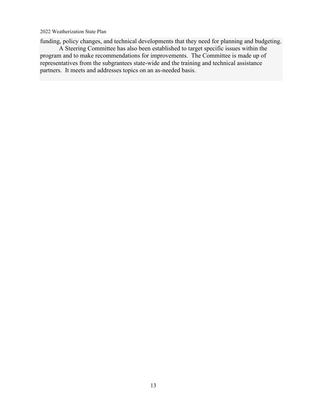funding, policy changes, and technical developments that they need for planning and budgeting.

A Steering Committee has also been established to target specific issues within the program and to make recommendations for improvements. The Committee is made up of representatives from the subgrantees state-wide and the training and technical assistance partners. It meets and addresses topics on an as-needed basis.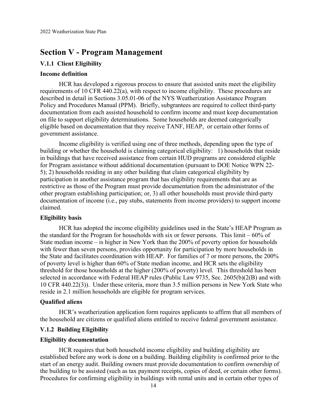# **Section V - Program Management**

### **V.1.1 Client Eligibility**

### **Income definition**

HCR has developed a rigorous process to ensure that assisted units meet the eligibility requirements of 10 CFR 440.22(a), with respect to income eligibility. These procedures are described in detail in Sections 3.05.01-06 of the NYS Weatherization Assistance Program Policy and Procedures Manual (PPM). Briefly, subgrantees are required to collect third-party documentation from each assisted household to confirm income and must keep documentation on file to support eligibility determinations. Some households are deemed categorically eligible based on documentation that they receive TANF, HEAP, or certain other forms of government assistance.

Income eligibility is verified using one of three methods, depending upon the type of building or whether the household is claiming categorical eligibility: 1) households that reside in buildings that have received assistance from certain HUD programs are considered eligible for Program assistance without additional documentation (pursuant to DOE Notice WPN 22- 5); 2) households residing in any other building that claim categorical eligibility by participation in another assistance program that has eligibility requirements that are as restrictive as those of the Program must provide documentation from the administrator of the other program establishing participation; or, 3) all other households must provide third-party documentation of income (i.e., pay stubs, statements from income providers) to support income claimed.

### **Eligibility basis**

HCR has adopted the income eligibility guidelines used in the State's HEAP Program as the standard for the Program for households with six or fewer persons. This limit – 60% of State median income – is higher in New York than the 200% of poverty option for households with fewer than seven persons, provides opportunity for participation by more households in the State and facilitates coordination with HEAP. For families of 7 or more persons, the 200% of poverty level is higher than 60% of State median income, and HCR sets the eligibility threshold for those households at the higher (200% of poverty) level. This threshold has been selected in accordance with Federal HEAP rules (Public Law 9735, Sec. 2605(b)(2(B) and with 10 CFR 440.22(3)). Under these criteria, more than 3.5 million persons in New York State who reside in 2.1 million households are eligible for program services.

### **Qualified aliens**

HCR's weatherization application form requires applicants to affirm that all members of the household are citizens or qualified aliens entitled to receive federal government assistance.

### **V.1.2 Building Eligibility**

### **Eligibility documentation**

HCR requires that both household income eligibility and building eligibility are established before any work is done on a building. Building eligibility is confirmed prior to the start of an energy audit. Building owners must provide documentation to confirm ownership of the building to be assisted (such as tax payment receipts, copies of deed, or certain other forms). Procedures for confirming eligibility in buildings with rental units and in certain other types of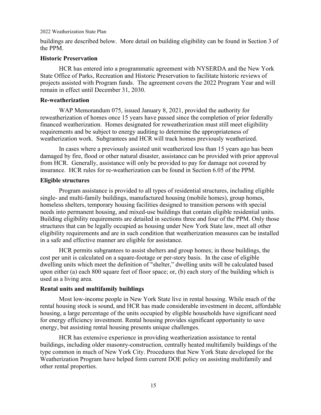buildings are described below. More detail on building eligibility can be found in Section 3 of the PPM.

### **Historic Preservation**

HCR has entered into a programmatic agreement with NYSERDA and the New York State Office of Parks, Recreation and Historic Preservation to facilitate historic reviews of projects assisted with Program funds. The agreement covers the 2022 Program Year and will remain in effect until December 31, 2030.

### **Re-weatherization**

WAP Memorandum 075, issued January 8, 2021, provided the authority for reweatherization of homes once 15 years have passed since the completion of prior federally financed weatherization. Homes designated for reweatherization must still meet eligibility requirements and be subject to energy auditing to determine the appropriateness of weatherization work. Subgrantees and HCR will track homes previously weatherized.

In cases where a previously assisted unit weatherized less than 15 years ago has been damaged by fire, flood or other natural disaster, assistance can be provided with prior approval from HCR. Generally, assistance will only be provided to pay for damage not covered by insurance. HCR rules for re-weatherization can be found in Section 6.05 of the PPM.

### **Eligible structures**

Program assistance is provided to all types of residential structures, including eligible single- and multi-family buildings, manufactured housing (mobile homes), group homes, homeless shelters, temporary housing facilities designed to transition persons with special needs into permanent housing, and mixed-use buildings that contain eligible residential units. Building eligibility requirements are detailed in sections three and four of the PPM. Only those structures that can be legally occupied as housing under New York State law, meet all other eligibility requirements and are in such condition that weatherization measures can be installed in a safe and effective manner are eligible for assistance.

HCR permits subgrantees to assist shelters and group homes; in those buildings, the cost per unit is calculated on a square-footage or per-story basis. In the case of eligible dwelling units which meet the definition of "shelter," dwelling units will be calculated based upon either (a) each 800 square feet of floor space; or, (b) each story of the building which is used as a living area.

### **Rental units and multifamily buildings**

Most low-income people in New York State live in rental housing. While much of the rental housing stock is sound, and HCR has made considerable investment in decent, affordable housing, a large percentage of the units occupied by eligible households have significant need for energy efficiency investment. Rental housing provides significant opportunity to save energy, but assisting rental housing presents unique challenges.

HCR has extensive experience in providing weatherization assistance to rental buildings, including older masonry-construction, centrally heated multifamily buildings of the type common in much of New York City. Procedures that New York State developed for the Weatherization Program have helped form current DOE policy on assisting multifamily and other rental properties.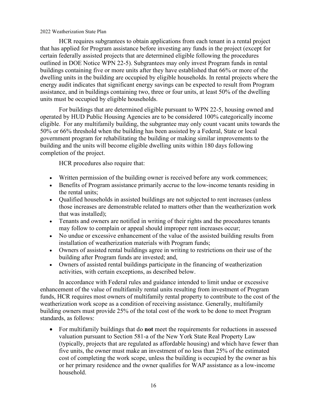HCR requires subgrantees to obtain applications from each tenant in a rental project that has applied for Program assistance before investing any funds in the project (except for certain federally assisted projects that are determined eligible following the procedures outlined in DOE Notice WPN 22-5). Subgrantees may only invest Program funds in rental buildings containing five or more units after they have established that 66% or more of the dwelling units in the building are occupied by eligible households. In rental projects where the energy audit indicates that significant energy savings can be expected to result from Program assistance, and in buildings containing two, three or four units, at least 50% of the dwelling units must be occupied by eligible households.

For buildings that are determined eligible pursuant to WPN 22-5, housing owned and operated by HUD Public Housing Agencies are to be considered 100% categorically income eligible. For any multifamily building, the subgrantee may only count vacant units towards the 50% or 66% threshold when the building has been assisted by a Federal, State or local government program for rehabilitating the building or making similar improvements to the building and the units will become eligible dwelling units within 180 days following completion of the project.

HCR procedures also require that:

- Written permission of the building owner is received before any work commences;
- Benefits of Program assistance primarily accrue to the low-income tenants residing in the rental units;
- Qualified households in assisted buildings are not subjected to rent increases (unless those increases are demonstrable related to matters other than the weatherization work that was installed);
- Tenants and owners are notified in writing of their rights and the procedures tenants may follow to complain or appeal should improper rent increases occur;
- No undue or excessive enhancement of the value of the assisted building results from installation of weatherization materials with Program funds;
- Owners of assisted rental buildings agree in writing to restrictions on their use of the building after Program funds are invested; and,
- Owners of assisted rental buildings participate in the financing of weatherization activities, with certain exceptions, as described below.

In accordance with Federal rules and guidance intended to limit undue or excessive enhancement of the value of multifamily rental units resulting from investment of Program funds, HCR requires most owners of multifamily rental property to contribute to the cost of the weatherization work scope as a condition of receiving assistance. Generally, multifamily building owners must provide 25% of the total cost of the work to be done to meet Program standards, as follows:

• For multifamily buildings that do **not** meet the requirements for reductions in assessed valuation pursuant to Section 581-a of the New York State Real Property Law (typically, projects that are regulated as affordable housing) and which have fewer than five units, the owner must make an investment of no less than 25% of the estimated cost of completing the work scope, unless the building is occupied by the owner as his or her primary residence and the owner qualifies for WAP assistance as a low-income household.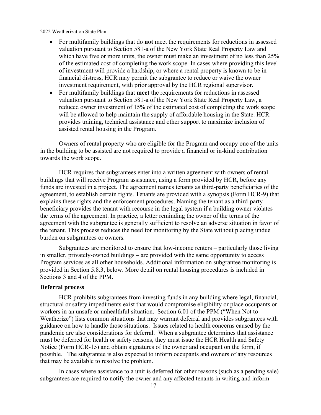- For multifamily buildings that do **not** meet the requirements for reductions in assessed valuation pursuant to Section 581-a of the New York State Real Property Law and which have five or more units, the owner must make an investment of no less than 25% of the estimated cost of completing the work scope. In cases where providing this level of investment will provide a hardship, or where a rental property is known to be in financial distress, HCR may permit the subgrantee to reduce or waive the owner investment requirement, with prior approval by the HCR regional supervisor.
- For multifamily buildings that **meet** the requirements for reductions in assessed valuation pursuant to Section 581-a of the New York State Real Property Law, a reduced owner investment of 15% of the estimated cost of completing the work scope will be allowed to help maintain the supply of affordable housing in the State. HCR provides training, technical assistance and other support to maximize inclusion of assisted rental housing in the Program.

Owners of rental property who are eligible for the Program and occupy one of the units in the building to be assisted are not required to provide a financial or in-kind contribution towards the work scope.

HCR requires that subgrantees enter into a written agreement with owners of rental buildings that will receive Program assistance, using a form provided by HCR, before any funds are invested in a project. The agreement names tenants as third-party beneficiaries of the agreement, to establish certain rights. Tenants are provided with a synopsis (Form HCR-9) that explains these rights and the enforcement procedures. Naming the tenant as a third-party beneficiary provides the tenant with recourse in the legal system if a building owner violates the terms of the agreement. In practice, a letter reminding the owner of the terms of the agreement with the subgrantee is generally sufficient to resolve an adverse situation in favor of the tenant. This process reduces the need for monitoring by the State without placing undue burden on subgrantees or owners.

Subgrantees are monitored to ensure that low-income renters – particularly those living in smaller, privately-owned buildings – are provided with the same opportunity to access Program services as all other households. Additional information on subgrantee monitoring is provided in Section 5.8.3, below. More detail on rental housing procedures is included in Sections 3 and 4 of the PPM.

### **Deferral process**

HCR prohibits subgrantees from investing funds in any building where legal, financial, structural or safety impediments exist that would compromise eligibility or place occupants or workers in an unsafe or unhealthful situation. Section 6.01 of the PPM ("When Not to Weatherize") lists common situations that may warrant deferral and provides subgrantees with guidance on how to handle those situations. Issues related to health concerns caused by the pandemic are also considerations for deferral. When a subgrantee determines that assistance must be deferred for health or safety reasons, they must issue the HCR Health and Safety Notice (Form HCR-15) and obtain signatures of the owner and occupant on the form, if possible. The subgrantee is also expected to inform occupants and owners of any resources that may be available to resolve the problem.

In cases where assistance to a unit is deferred for other reasons (such as a pending sale) subgrantees are required to notify the owner and any affected tenants in writing and inform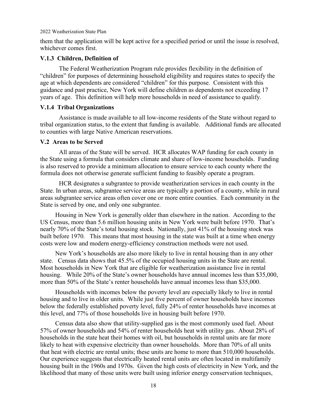them that the application will be kept active for a specified period or until the issue is resolved, whichever comes first.

### **V.1.3 Children, Definition of**

The Federal Weatherization Program rule provides flexibility in the definition of "children" for purposes of determining household eligibility and requires states to specify the age at which dependents are considered "children" for this purpose. Consistent with this guidance and past practice, New York will define children as dependents not exceeding 17 years of age. This definition will help more households in need of assistance to qualify.

### **V.1.4 Tribal Organizations**

Assistance is made available to all low-income residents of the State without regard to tribal organization status, to the extent that funding is available. Additional funds are allocated to counties with large Native American reservations.

### **V.2 Areas to be Served**

All areas of the State will be served. HCR allocates WAP funding for each county in the State using a formula that considers climate and share of low-income households. Funding is also reserved to provide a minimum allocation to ensure service to each county where the formula does not otherwise generate sufficient funding to feasibly operate a program.

HCR designates a subgrantee to provide weatherization services in each county in the State. In urban areas, subgrantee service areas are typically a portion of a county, while in rural areas subgrantee service areas often cover one or more entire counties. Each community in the State is served by one, and only one subgrantee.

Housing in New York is generally older than elsewhere in the nation. According to the US Census, more than 5.6 million housing units in New York were built before 1970. That's nearly 70% of the State's total housing stock. Nationally, just 41% of the housing stock was built before 1970. This means that most housing in the state was built at a time when energy costs were low and modern energy-efficiency construction methods were not used.

New York's households are also more likely to live in rental housing than in any other state. Census data shows that 45.5% of the occupied housing units in the State are rental. Most households in New York that are eligible for weatherization assistance live in rental housing. While 20% of the State's owner households have annual incomes less than \$35,000, more than 50% of the State's renter households have annual incomes less than \$35,000.

Households with incomes below the poverty level are especially likely to live in rental housing and to live in older units. While just five percent of owner households have incomes below the federally established poverty level, fully 24% of renter households have incomes at this level, and 77% of those households live in housing built before 1970.

Census data also show that utility-supplied gas is the most commonly used fuel. About 57% of owner households and 54% of renter households heat with utility gas. About 28% of households in the state heat their homes with oil, but households in rental units are far more likely to heat with expensive electricity than owner households. More than 70% of all units that heat with electric are rental units; these units are home to more than 510,000 households. Our experience suggests that electrically heated rental units are often located in multifamily housing built in the 1960s and 1970s. Given the high costs of electricity in New York, and the likelihood that many of those units were built using inferior energy conservation techniques,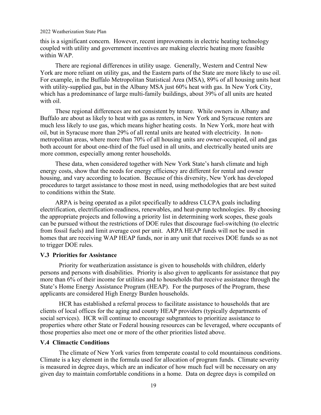this is a significant concern. However, recent improvements in electric heating technology coupled with utility and government incentives are making electric heating more feasible within WAP.

There are regional differences in utility usage. Generally, Western and Central New York are more reliant on utility gas, and the Eastern parts of the State are more likely to use oil. For example, in the Buffalo Metropolitan Statistical Area (MSA), 89% of all housing units heat with utility-supplied gas, but in the Albany MSA just 60% heat with gas. In New York City, which has a predominance of large multi-family buildings, about 39% of all units are heated with oil.

These regional differences are not consistent by tenure. While owners in Albany and Buffalo are about as likely to heat with gas as renters, in New York and Syracuse renters are much less likely to use gas, which means higher heating costs. In New York, more heat with oil, but in Syracuse more than 29% of all rental units are heated with electricity. In nonmetropolitan areas, where more than 70% of all housing units are owner-occupied, oil and gas both account for about one-third of the fuel used in all units, and electrically heated units are more common, especially among renter households.

These data, when considered together with New York State's harsh climate and high energy costs, show that the needs for energy efficiency are different for rental and owner housing, and vary according to location. Because of this diversity, New York has developed procedures to target assistance to those most in need, using methodologies that are best suited to conditions within the State.

ARPA is being operated as a pilot specifically to address CLCPA goals including electrification, electrification-readiness, renewables, and heat-pump technologies. By choosing the appropriate projects and following a priority list in determining work scopes, these goals can be pursued without the restrictions of DOE rules that discourage fuel-switching (to electric from fossil fuels) and limit average cost per unit. ARPA HEAP funds will not be used in homes that are receiving WAP HEAP funds, nor in any unit that receives DOE funds so as not to trigger DOE rules.

### **V.3 Priorities for Assistance**

Priority for weatherization assistance is given to households with children, elderly persons and persons with disabilities. Priority is also given to applicants for assistance that pay more than 6% of their income for utilities and to households that receive assistance through the State's Home Energy Assistance Program (HEAP). For the purposes of the Program, these applicants are considered High Energy Burden households.

HCR has established a referral process to facilitate assistance to households that are clients of local offices for the aging and county HEAP providers (typically departments of social services). HCR will continue to encourage subgrantees to prioritize assistance to properties where other State or Federal housing resources can be leveraged, where occupants of those properties also meet one or more of the other priorities listed above.

### **V.4 Climactic Conditions**

The climate of New York varies from temperate coastal to cold mountainous conditions. Climate is a key element in the formula used for allocation of program funds. Climate severity is measured in degree days, which are an indicator of how much fuel will be necessary on any given day to maintain comfortable conditions in a home. Data on degree days is compiled on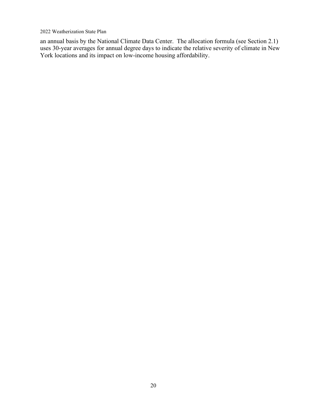an annual basis by the National Climate Data Center. The allocation formula (see Section 2.1) uses 30-year averages for annual degree days to indicate the relative severity of climate in New York locations and its impact on low-income housing affordability.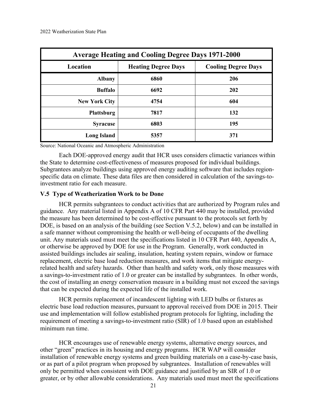| <b>Average Heating and Cooling Degree Days 1971-2000</b>             |      |     |  |  |  |  |
|----------------------------------------------------------------------|------|-----|--|--|--|--|
| <b>Cooling Degree Days</b><br>Location<br><b>Heating Degree Days</b> |      |     |  |  |  |  |
| <b>Albany</b>                                                        | 6860 | 206 |  |  |  |  |
| <b>Buffalo</b>                                                       | 6692 | 202 |  |  |  |  |
| <b>New York City</b>                                                 | 4754 | 604 |  |  |  |  |
| <b>Plattsburg</b>                                                    | 7817 | 132 |  |  |  |  |
| <b>Syracuse</b>                                                      | 6803 | 195 |  |  |  |  |
| <b>Long Island</b>                                                   | 5357 | 371 |  |  |  |  |

Source: National Oceanic and Atmospheric Administration

Each DOE-approved energy audit that HCR uses considers climactic variances within the State to determine cost-effectiveness of measures proposed for individual buildings. Subgrantees analyze buildings using approved energy auditing software that includes regionspecific data on climate. These data files are then considered in calculation of the savings-toinvestment ratio for each measure.

### **V.5 Type of Weatherization Work to be Done**

HCR permits subgrantees to conduct activities that are authorized by Program rules and guidance. Any material listed in Appendix A of 10 CFR Part 440 may be installed, provided the measure has been determined to be cost-effective pursuant to the protocols set forth by DOE, is based on an analysis of the building (see Section V.5.2, below) and can be installed in a safe manner without compromising the health or well-being of occupants of the dwelling unit. Any materials used must meet the specifications listed in 10 CFR Part 440, Appendix A, or otherwise be approved by DOE for use in the Program. Generally, work conducted in assisted buildings includes air sealing, insulation, heating system repairs, window or furnace replacement, electric base load reduction measures, and work items that mitigate energyrelated health and safety hazards. Other than health and safety work, only those measures with a savings-to-investment ratio of 1.0 or greater can be installed by subgrantees. In other words, the cost of installing an energy conservation measure in a building must not exceed the savings that can be expected during the expected life of the installed work.

HCR permits replacement of incandescent lighting with LED bulbs or fixtures as electric base load reduction measures, pursuant to approval received from DOE in 2015. Their use and implementation will follow established program protocols for lighting, including the requirement of meeting a savings-to-investment ratio (SIR) of 1.0 based upon an established minimum run time.

HCR encourages use of renewable energy systems, alternative energy sources, and other "green" practices in its housing and energy programs. HCR WAP will consider installation of renewable energy systems and green building materials on a case-by-case basis, or as part of a pilot program when proposed by subgrantees. Installation of renewables will only be permitted when consistent with DOE guidance and justified by an SIR of 1.0 or greater, or by other allowable considerations. Any materials used must meet the specifications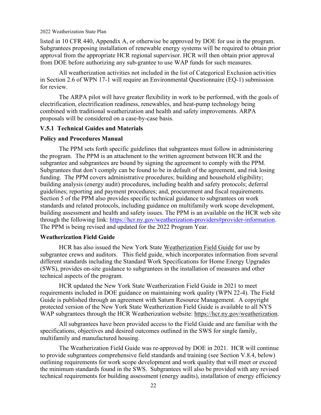listed in 10 CFR 440, Appendix A, or otherwise be approved by DOE for use in the program. Subgrantees proposing installation of renewable energy systems will be required to obtain prior approval from the appropriate HCR regional supervisor. HCR will then obtain prior approval from DOE before authorizing any sub-grantee to use WAP funds for such measures.

All weatherization activities not included in the list of Categorical Exclusion activities in Section 2.6 of WPN 17-1 will require an Environmental Questionnaire (EQ-1) submission for review.

The ARPA pilot will have greater flexibility in work to be performed, with the goals of electrification, electrification readiness, renewables, and heat-pump technology being combined with traditional weatherization and health and safety improvements. ARPA proposals will be considered on a case-by-case basis.

### **V.5.1 Technical Guides and Materials**

### **Policy and Procedures Manual**

The PPM sets forth specific guidelines that subgrantees must follow in administering the program. The PPM is an attachment to the written agreement between HCR and the subgrantee and subgrantees are bound by signing the agreement to comply with the PPM. Subgrantees that don't comply can be found to be in default of the agreement, and risk losing funding. The PPM covers administrative procedures; building and household eligibility; building analysis (energy audit) procedures, including health and safety protocols; deferral guidelines; reporting and payment procedures; and, procurement and fiscal requirements. Section 5 of the PPM also provides specific technical guidance to subgrantees on work standards and related protocols, including guidance on multifamily work scope development, building assessment and health and safety issues. The PPM is an available on the HCR web site through the following link: [https://hcr.ny.gov/weatherization-providers#provider-information.](https://hcr.ny.gov/weatherization-providers#provider-information) The PPM is being revised and updated for the 2022 Program Year.

### **Weatherization Field Guide**

HCR has also issued the New York State Weatherization Field Guide for use by subgrantee crews and auditors. This field guide, which incorporates information from several different standards including the Standard Work Specifications for Home Energy Upgrades (SWS), provides on-site guidance to subgrantees in the installation of measures and other technical aspects of the program.

HCR updated the New York State Weatherization Field Guide in 2021 to meet requirements included in DOE guidance on maintaining work quality (WPN 22-4). The Field Guide is published through an agreement with Saturn Resource Management. A copyright protected version of the New York State Weatherization Field Guide is available to all NYS WAP subgrantees through the HCR Weatherization website: https://hcr.ny.gov/weatherization.

All subgrantees have been provided access to the Field Guide and are familiar with the specifications, objectives and desired outcomes outlined in the SWS for single family, multifamily and manufactured housing.

The Weatherization Field Guide was re-approved by DOE in 2021. HCR will continue to provide subgrantees comprehensive field standards and training (see Section V.8.4, below) outlining requirements for work scope development and work quality that will meet or exceed the minimum standards found in the SWS. Subgrantees will also be provided with any revised technical requirements for building assessment (energy audits), installation of energy efficiency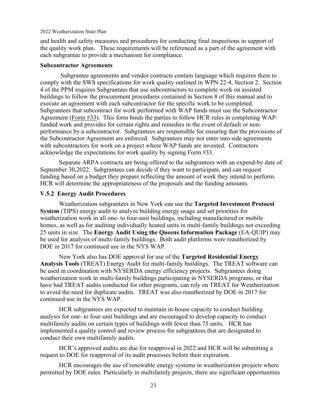and health and safety measures and procedures for conducting final inspections in support of the quality work plan. These requirements will be referenced as a part of the agreement with each subgrantee to provide a mechanism for compliance.

### **Subcontractor Agreements**

Subgrantee agreements and vendor contracts contain language which requires them to comply with the SWS specifications for work quality outlined in WPN 22-4, Section 2. Section 4 of the PPM requires Subgrantees that use subcontractors to complete work on assisted buildings to follow the procurement procedures contained in Section 8 of this manual and to execute an agreement with each subcontractor for the specific work to be completed. Subgrantees that subcontract for work performed with WAP funds must use the Subcontractor Agreement [\(Form #33\)](http://www.nyshcr.org/Forms/WeatherizationAssistance/WAP33_Subcont_Agrmt.pdf). This form binds the parties to follow HCR rules in completing WAPfunded work and provides for certain rights and remedies in the event of default or nonperformance by a subcontractor. Subgrantees are responsible for ensuring that the provisions of the Subcontractor Agreement are enforced. Subgrantees may not enter into side agreements with subcontractors for work on a project where WAP funds are invested. Contractors acknowledge the expectations for work quality by signing Form #33.

Separate ARPA contracts are being offered to the subgrantees with an expend-by date of September 30,2022. Subgrantees can decide if they want to participate, and can request funding based on a budget they prepare reflecting the amount of work they intend to perform. HCR will determine the appropriateness of the proposals and the funding amounts.

### **V.5.2 Energy Audit Procedures**

Weatherization subgrantees in New York can use the **Targeted Investment Protocol System** (TIPS) energy audit to analyze building energy usage and set priorities for weatherization work in all one- to four-unit buildings, including manufactured or mobile homes, as well as for auditing individually heated units in multi-family buildings not exceeding 25 units in size. The **Energy Audit Using the Queens Information Package** (EA-QUIP) may be used for analysis of multi-family buildings. Both audit platforms were reauthorized by DOE in 2017 for continued use in the NYS WAP.

New York also has DOE approval for use of the **Targeted Residential Energy Analysis Tools** (TREAT) Energy Audit for multi-family buildings. The TREAT software can be used in coordination with NYSERDA energy efficiency projects. Subgrantees doing weatherization work in multi-family buildings participating in NYSERDA programs, or that have had TREAT audits conducted for other programs, can rely on TREAT for Weatherization to avoid the need for duplicate audits. TREAT was also reauthorized by DOE in 2017 for continued use in the NYS WAP.

HCR subgrantees are expected to maintain in-house capacity to conduct building analysis for one- to four-unit buildings and are encouraged to develop capacity to conduct multifamily audits on certain types of buildings with fewer than 75 units. HCR has implemented a quality control and review process for subgrantees that are designated to conduct their own multifamily audits.

HCR's approved audits are due for reapproval in 2022 and HCR will be submitting a request to DOE for reapproval of its audit processes before their expiration.

HCR encourages the use of renewable energy systems in weatherization projects where permitted by DOE rules. Particularly in multifamily projects, there are significant opportunities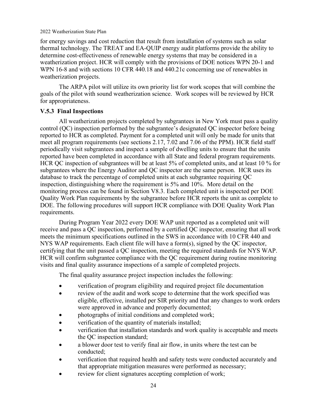for energy savings and cost reduction that result from installation of systems such as solar thermal technology. The TREAT and EA-QUIP energy audit platforms provide the ability to determine cost-effectiveness of renewable energy systems that may be considered in a weatherization project. HCR will comply with the provisions of DOE notices WPN 20-1 and WPN 16-8 and with sections 10 CFR 440.18 and 440.21c concerning use of renewables in weatherization projects.

The ARPA pilot will utilize its own priority list for work scopes that will combine the goals of the pilot with sound weatherization science. Work scopes will be reviewed by HCR for appropriateness.

### **V.5.3 Final Inspections**

All weatherization projects completed by subgrantees in New York must pass a quality control (QC) inspection performed by the subgrantee's designated QC inspector before being reported to HCR as completed. Payment for a completed unit will only be made for units that meet all program requirements (see sections 2.17, 7.02 and 7.06 of the PPM). HCR field staff periodically visit subgrantees and inspect a sample of dwelling units to ensure that the units reported have been completed in accordance with all State and federal program requirements. HCR QC inspection of subgrantees will be at least 5% of completed units, and at least 10 % for subgrantees where the Energy Auditor and QC inspector are the same person. HCR uses its database to track the percentage of completed units at each subgrantee requiring QC inspection, distinguishing where the requirement is 5% and 10%. More detail on the monitoring process can be found in Section V8.3. Each completed unit is inspected per DOE Quality Work Plan requirements by the subgrantee before HCR reports the unit as complete to DOE. The following procedures will support HCR compliance with DOE Quality Work Plan requirements.

During Program Year 2022 every DOE WAP unit reported as a completed unit will receive and pass a QC inspection, performed by a certified QC inspector, ensuring that all work meets the minimum specifications outlined in the SWS in accordance with 10 CFR 440 and NYS WAP requirements. Each client file will have a form(s), signed by the QC inspector, certifying that the unit passed a QC inspection, meeting the required standards for NYS WAP. HCR will confirm subgrantee compliance with the QC requirement during routine monitoring visits and final quality assurance inspections of a sample of completed projects.

The final quality assurance project inspection includes the following:

- verification of program eligibility and required project file documentation
- review of the audit and work scope to determine that the work specified was eligible, effective, installed per SIR priority and that any changes to work orders were approved in advance and properly documented;
- photographs of initial conditions and completed work;
- verification of the quantity of materials installed;
- verification that installation standards and work quality is acceptable and meets the QC inspection standard;
- a blower door test to verify final air flow, in units where the test can be conducted;
- verification that required health and safety tests were conducted accurately and that appropriate mitigation measures were performed as necessary;
- review for client signatures accepting completion of work;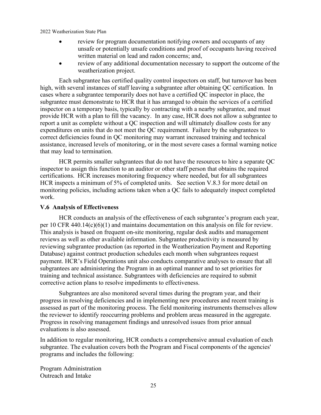- review for program documentation notifying owners and occupants of any unsafe or potentially unsafe conditions and proof of occupants having received written material on lead and radon concerns; and,
- review of any additional documentation necessary to support the outcome of the weatherization project.

Each subgrantee has certified quality control inspectors on staff, but turnover has been high, with several instances of staff leaving a subgrantee after obtaining QC certification. In cases where a subgrantee temporarily does not have a certified QC inspector in place, the subgrantee must demonstrate to HCR that it has arranged to obtain the services of a certified inspector on a temporary basis, typically by contracting with a nearby subgrantee, and must provide HCR with a plan to fill the vacancy. In any case, HCR does not allow a subgrantee to report a unit as complete without a QC inspection and will ultimately disallow costs for any expenditures on units that do not meet the QC requirement. Failure by the subgrantees to correct deficiencies found in QC monitoring may warrant increased training and technical assistance, increased levels of monitoring, or in the most severe cases a formal warning notice that may lead to termination.

HCR permits smaller subgrantees that do not have the resources to hire a separate QC inspector to assign this function to an auditor or other staff person that obtains the required certifications. HCR increases monitoring frequency where needed, but for all subgrantees HCR inspects a minimum of 5% of completed units. See section V.8.3 for more detail on monitoring policies, including actions taken when a QC fails to adequately inspect completed work.

### **V.6 Analysis of Effectiveness**

HCR conducts an analysis of the effectiveness of each subgrantee's program each year, per 10 CFR 440.14(c)(6)(1) and maintains documentation on this analysis on file for review. This analysis is based on frequent on-site monitoring, regular desk audits and management reviews as well as other available information. Subgrantee productivity is measured by reviewing subgrantee production (as reported in the Weatherization Payment and Reporting Database) against contract production schedules each month when subgrantees request payment. HCR's Field Operations unit also conducts comparative analyses to ensure that all subgrantees are administering the Program in an optimal manner and to set priorities for training and technical assistance. Subgrantees with deficiencies are required to submit corrective action plans to resolve impediments to effectiveness.

Subgrantees are also monitored several times during the program year, and their progress in resolving deficiencies and in implementing new procedures and recent training is assessed as part of the monitoring process. The field monitoring instruments themselves allow the reviewer to identify reoccurring problems and problem areas measured in the aggregate. Progress in resolving management findings and unresolved issues from prior annual evaluations is also assessed.

In addition to regular monitoring, HCR conducts a comprehensive annual evaluation of each subgrantee. The evaluation covers both the Program and Fiscal components of the agencies' programs and includes the following:

Program Administration Outreach and Intake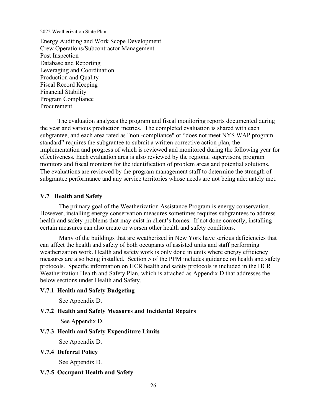Energy Auditing and Work Scope Development Crew Operations/Subcontractor Management Post Inspection Database and Reporting Leveraging and Coordination Production and Quality Fiscal Record Keeping Financial Stability Program Compliance Procurement

 The evaluation analyzes the program and fiscal monitoring reports documented during the year and various production metrics. The completed evaluation is shared with each subgrantee, and each area rated as "non -compliance" or "does not meet NYS WAP program standard" requires the subgrantee to submit a written corrective action plan, the implementation and progress of which is reviewed and monitored during the following year for effectiveness. Each evaluation area is also reviewed by the regional supervisors, program monitors and fiscal monitors for the identification of problem areas and potential solutions. The evaluations are reviewed by the program management staff to determine the strength of subgrantee performance and any service territories whose needs are not being adequately met.

### **V.7 Health and Safety**

The primary goal of the Weatherization Assistance Program is energy conservation. However, installing energy conservation measures sometimes requires subgrantees to address health and safety problems that may exist in client's homes. If not done correctly, installing certain measures can also create or worsen other health and safety conditions.

Many of the buildings that are weatherized in New York have serious deficiencies that can affect the health and safety of both occupants of assisted units and staff performing weatherization work. Health and safety work is only done in units where energy efficiency measures are also being installed. Section 5 of the PPM includes guidance on health and safety protocols. Specific information on HCR health and safety protocols is included in the HCR Weatherization Health and Safety Plan, which is attached as Appendix D that addresses the below sections under Health and Safety.

### **V.7.1 Health and Safety Budgeting**

See Appendix D.

### **V.7.2 Health and Safety Measures and Incidental Repairs**

See Appendix D.

### **V.7.3 Health and Safety Expenditure Limits**

See Appendix D.

**V.7.4 Deferral Policy**

See Appendix D.

### **V.7.5 Occupant Health and Safety**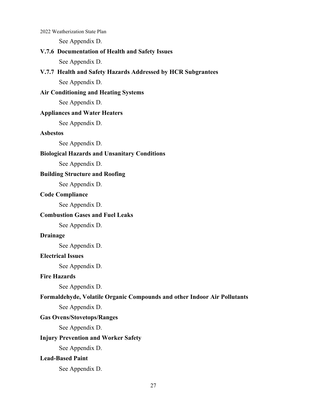See Appendix D.

### **V.7.6 Documentation of Health and Safety Issues**

See Appendix D.

### **V.7.7 Health and Safety Hazards Addressed by HCR Subgrantees**

See Appendix D.

### **Air Conditioning and Heating Systems**

See Appendix D.

### **Appliances and Water Heaters**

See Appendix D.

### **Asbestos**

See Appendix D.

### **Biological Hazards and Unsanitary Conditions**

See Appendix D.

### **Building Structure and Roofing**

See Appendix D.

### **Code Compliance**

See Appendix D.

### **Combustion Gases and Fuel Leaks**

See Appendix D.

### **Drainage**

See Appendix D.

### **Electrical Issues**

See Appendix D.

### **Fire Hazards**

See Appendix D.

### **Formaldehyde, Volatile Organic Compounds and other Indoor Air Pollutants**

See Appendix D.

### **Gas Ovens/Stovetops/Ranges**

See Appendix D.

### **Injury Prevention and Worker Safety**

See Appendix D.

### **Lead-Based Paint**

See Appendix D.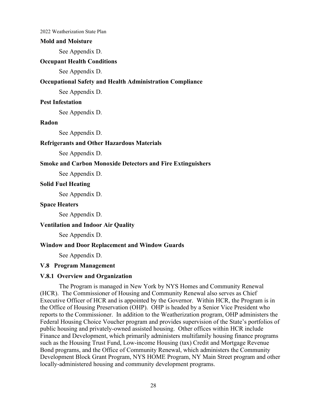### **Mold and Moisture**

See Appendix D.

### **Occupant Health Conditions**

See Appendix D.

### **Occupational Safety and Health Administration Compliance**

See Appendix D.

### **Pest Infestation**

See Appendix D.

### **Radon**

See Appendix D.

### **Refrigerants and Other Hazardous Materials**

See Appendix D.

### **Smoke and Carbon Monoxide Detectors and Fire Extinguishers**

See Appendix D.

### **Solid Fuel Heating**

See Appendix D.

### **Space Heaters**

See Appendix D.

### **Ventilation and Indoor Air Quality**

See Appendix D.

### **Window and Door Replacement and Window Guards**

See Appendix D.

### **V.8 Program Management**

### **V.8.1 Overview and Organization**

The Program is managed in New York by NYS Homes and Community Renewal (HCR). The Commissioner of Housing and Community Renewal also serves as Chief Executive Officer of HCR and is appointed by the Governor. Within HCR, the Program is in the Office of Housing Preservation (OHP). OHP is headed by a Senior Vice President who reports to the Commissioner. In addition to the Weatherization program, OHP administers the Federal Housing Choice Voucher program and provides supervision of the State's portfolios of public housing and privately-owned assisted housing. Other offices within HCR include Finance and Development, which primarily administers multifamily housing finance programs such as the Housing Trust Fund, Low-income Housing (tax) Credit and Mortgage Revenue Bond programs, and the Office of Community Renewal, which administers the Community Development Block Grant Program, NYS HOME Program, NY Main Street program and other locally-administered housing and community development programs.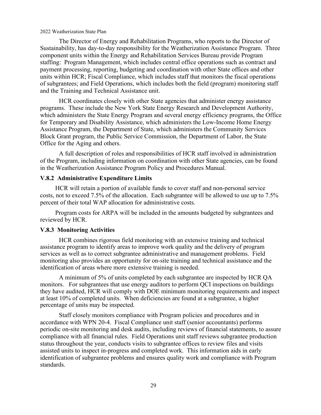The Director of Energy and Rehabilitation Programs, who reports to the Director of Sustainability, has day-to-day responsibility for the Weatherization Assistance Program. Three component units within the Energy and Rehabilitation Services Bureau provide Program staffing: Program Management, which includes central office operations such as contract and payment processing, reporting, budgeting and coordination with other State offices and other units within HCR; Fiscal Compliance, which includes staff that monitors the fiscal operations of subgrantees; and Field Operations, which includes both the field (program) monitoring staff and the Training and Technical Assistance unit.

HCR coordinates closely with other State agencies that administer energy assistance programs. These include the New York State Energy Research and Development Authority, which administers the State Energy Program and several energy efficiency programs, the Office for Temporary and Disability Assistance, which administers the Low-Income Home Energy Assistance Program, the Department of State, which administers the Community Services Block Grant program, the Public Service Commission, the Department of Labor, the State Office for the Aging and others.

A full description of roles and responsibilities of HCR staff involved in administration of the Program, including information on coordination with other State agencies, can be found in the Weatherization Assistance Program Policy and Procedures Manual.

### **V.8.2 Administrative Expenditure Limits**

HCR will retain a portion of available funds to cover staff and non-personal service costs, not to exceed 7.5% of the allocation. Each subgrantee will be allowed to use up to 7.5% percent of their total WAP allocation for administrative costs.

Program costs for ARPA will be included in the amounts budgeted by subgrantees and reviewed by HCR.

### **V.8.3 Monitoring Activities**

HCR combines rigorous field monitoring with an extensive training and technical assistance program to identify areas to improve work quality and the delivery of program services as well as to correct subgrantee administrative and management problems. Field monitoring also provides an opportunity for on-site training and technical assistance and the identification of areas where more extensive training is needed.

A minimum of 5% of units completed by each subgrantee are inspected by HCR QA monitors. For subgrantees that use energy auditors to perform QCI inspections on buildings they have audited, HCR will comply with DOE minimum monitoring requirements and inspect at least 10% of completed units. When deficiencies are found at a subgrantee, a higher percentage of units may be inspected.

Staff closely monitors compliance with Program policies and procedures and in accordance with WPN 20-4. Fiscal Compliance unit staff (senior accountants) performs periodic on-site monitoring and desk audits, including reviews of financial statements, to assure compliance with all financial rules. Field Operations unit staff reviews subgrantee production status throughout the year, conducts visits to subgrantee offices to review files and visits assisted units to inspect in-progress and completed work. This information aids in early identification of subgrantee problems and ensures quality work and compliance with Program standards.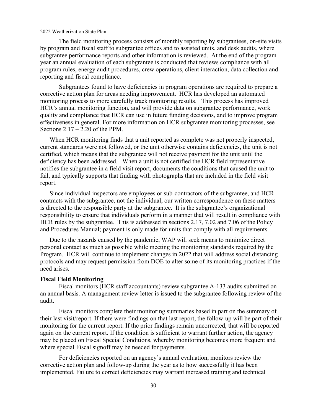The field monitoring process consists of monthly reporting by subgrantees, on-site visits by program and fiscal staff to subgrantee offices and to assisted units, and desk audits, where subgrantee performance reports and other information is reviewed. At the end of the program year an annual evaluation of each subgrantee is conducted that reviews compliance with all program rules, energy audit procedures, crew operations, client interaction, data collection and reporting and fiscal compliance.

Subgrantees found to have deficiencies in program operations are required to prepare a corrective action plan for areas needing improvement. HCR has developed an automated monitoring process to more carefully track monitoring results. This process has improved HCR's annual monitoring function, and will provide data on subgrantee performance, work quality and compliance that HCR can use in future funding decisions, and to improve program effectiveness in general. For more information on HCR subgrantee monitoring processes, see Sections  $2.17 - 2.20$  of the PPM.

When HCR monitoring finds that a unit reported as complete was not properly inspected, current standards were not followed, or the unit otherwise contains deficiencies, the unit is not certified, which means that the subgrantee will not receive payment for the unit until the deficiency has been addressed. When a unit is not certified the HCR field representative notifies the subgrantee in a field visit report, documents the conditions that caused the unit to fail, and typically supports that finding with photographs that are included in the field visit report.

Since individual inspectors are employees or sub-contractors of the subgrantee, and HCR contracts with the subgrantee, not the individual, our written correspondence on these matters is directed to the responsible party at the subgrantee. It is the subgrantee's organizational responsibility to ensure that individuals perform in a manner that will result in compliance with HCR rules by the subgrantee. This is addressed in sections 2.17, 7.02 and 7.06 of the Policy and Procedures Manual; payment is only made for units that comply with all requirements.

Due to the hazards caused by the pandemic, WAP will seek means to minimize direct personal contact as much as possible while meeting the monitoring standards required by the Program. HCR will continue to implement changes in 2022 that will address social distancing protocols and may request permission from DOE to alter some of its monitoring practices if the need arises.

### **Fiscal Field Monitoring**

Fiscal monitors (HCR staff accountants) review subgrantee A-133 audits submitted on an annual basis. A management review letter is issued to the subgrantee following review of the audit.

Fiscal monitors complete their monitoring summaries based in part on the summary of their last visit/report. If there were findings on that last report, the follow-up will be part of their monitoring for the current report. If the prior findings remain uncorrected, that will be reported again on the current report. If the condition is sufficient to warrant further action, the agency may be placed on Fiscal Special Conditions, whereby monitoring becomes more frequent and where special Fiscal signoff may be needed for payments.

 For deficiencies reported on an agency's annual evaluation, monitors review the corrective action plan and follow-up during the year as to how successfully it has been implemented. Failure to correct deficiencies may warrant increased training and technical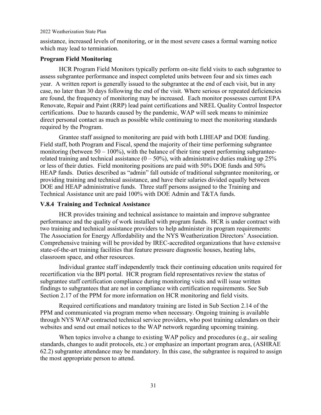assistance, increased levels of monitoring, or in the most severe cases a formal warning notice which may lead to termination.

### **Program Field Monitoring**

HCR Program Field Monitors typically perform on-site field visits to each subgrantee to assess subgrantee performance and inspect completed units between four and six times each year. A written report is generally issued to the subgrantee at the end of each visit, but in any case, no later than 30 days following the end of the visit. Where serious or repeated deficiencies are found, the frequency of monitoring may be increased. Each monitor possesses current EPA Renovate, Repair and Paint (RRP) lead paint certifications and NREL Quality Control Inspector certifications. Due to hazards caused by the pandemic, WAP will seek means to minimize direct personal contact as much as possible while continuing to meet the monitoring standards required by the Program.

Grantee staff assigned to monitoring are paid with both LIHEAP and DOE funding. Field staff, both Program and Fiscal, spend the majority of their time performing subgrantee monitoring (between  $50 - 100\%$ ), with the balance of their time spent performing subgranteerelated training and technical assistance  $(0 - 50\%)$ , with administrative duties making up 25% or less of their duties. Field monitoring positions are paid with 50% DOE funds and 50% HEAP funds. Duties described as "admin" fall outside of traditional subgrantee monitoring, or providing training and technical assistance, and have their salaries divided equally between DOE and HEAP administrative funds. Three staff persons assigned to the Training and Technical Assistance unit are paid 100% with DOE Admin and T&TA funds.

### **V.8.4 Training and Technical Assistance**

HCR provides training and technical assistance to maintain and improve subgrantee performance and the quality of work installed with program funds. HCR is under contract with two training and technical assistance providers to help administer its program requirements: The Association for Energy Affordability and the NYS Weatherization Directors' Association. Comprehensive training will be provided by IREC-accredited organizations that have extensive state-of-the-art training facilities that feature pressure diagnostic houses, heating labs, classroom space, and other resources.

Individual grantee staff independently track their continuing education units required for recertification via the BPI portal. HCR program field representatives review the status of subgrantee staff certification compliance during monitoring visits and will issue written findings to subgrantees that are not in compliance with certification requirements. See Sub Section 2.17 of the PPM for more information on HCR monitoring and field visits.

Required certifications and mandatory training are listed in Sub Section 2.14 of the PPM and communicated via program memo when necessary. Ongoing training is available through NYS WAP contracted technical service providers, who post training calendars on their websites and send out email notices to the WAP network regarding upcoming training.

When topics involve a change to existing WAP policy and procedures (e.g., air sealing standards, changes to audit protocols, etc.) or emphasize an important program area, (ASHRAE 62.2) subgrantee attendance may be mandatory. In this case, the subgrantee is required to assign the most appropriate person to attend.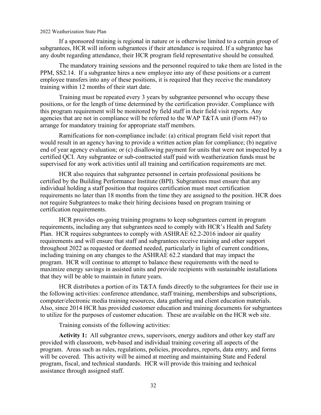If a sponsored training is regional in nature or is otherwise limited to a certain group of subgrantees, HCR will inform subgrantees if their attendance is required. If a subgrantee has any doubt regarding attendance, their HCR program field representative should be consulted.

The mandatory training sessions and the personnel required to take them are listed in the PPM, SS2.14. If a subgrantee hires a new employee into any of these positions or a current employee transfers into any of these positions, it is required that they receive the mandatory training within 12 months of their start date.

Training must be repeated every 3 years by subgrantee personnel who occupy these positions, or for the length of time determined by the certification provider. Compliance with this program requirement will be monitored by field staff in their field visit reports. Any agencies that are not in compliance will be referred to the WAP T&TA unit (Form #47) to arrange for mandatory training for appropriate staff members.

Ramifications for non-compliance include: (a) critical program field visit report that would result in an agency having to provide a written action plan for compliance; (b) negative end of year agency evaluation; or (c) disallowing payment for units that were not inspected by a certified QCI. Any subgrantee or sub-contracted staff paid with weatherization funds must be supervised for any work activities until all training and certification requirements are met.

HCR also requires that subgrantee personnel in certain professional positions be certified by the Building Performance Institute (BPI). Subgrantees must ensure that any individual holding a staff position that requires certification must meet certification requirements no later than 18 months from the time they are assigned to the position. HCR does not require Subgrantees to make their hiring decisions based on program training or certification requirements.

HCR provides on-going training programs to keep subgrantees current in program requirements, including any that subgrantees need to comply with HCR's Health and Safety Plan. HCR requires subgrantees to comply with ASHRAE 62.2-2016 indoor air quality requirements and will ensure that staff and subgrantees receive training and other support throughout 2022 as requested or deemed needed, particularly in light of current conditions, including training on any changes to the ASHRAE 62.2 standard that may impact the program. HCR will continue to attempt to balance these requirements with the need to maximize energy savings in assisted units and provide recipients with sustainable installations that they will be able to maintain in future years.

HCR distributes a portion of its T&TA funds directly to the subgrantees for their use in the following activities: conference attendance, staff training, memberships and subscriptions, computer/electronic media training resources, data gathering and client education materials. Also, since 2014 HCR has provided customer education and training documents for subgrantees to utilize for the purposes of customer education. These are available on the HCR web site.

Training consists of the following activities:

**Activity 1:** All subgrantee crews, supervisors, energy auditors and other key staff are provided with classroom, web-based and individual training covering all aspects of the program. Areas such as rules, regulations, policies, procedures, reports, data entry, and forms will be covered. This activity will be aimed at meeting and maintaining State and Federal program, fiscal, and technical standards. HCR will provide this training and technical assistance through assigned staff.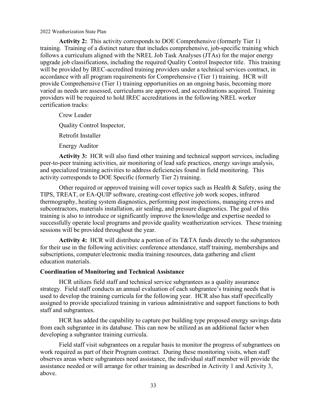**Activity 2:** This activity corresponds to DOE Comprehensive (formerly Tier 1) training. Training of a distinct nature that includes comprehensive, job-specific training which follows a curriculum aligned with the NREL Job Task Analyses (JTAs) for the major energy upgrade job classifications, including the required Quality Control Inspector title. This training will be provided by IREC-accredited training providers under a technical services contract, in accordance with all program requirements for Comprehensive (Tier 1) training. HCR will provide Comprehensive (Tier 1) training opportunities on an ongoing basis, becoming more varied as needs are assessed, curriculums are approved, and accreditations acquired. Training providers will be required to hold IREC accreditations in the following NREL worker certification tracks:

Crew Leader Quality Control Inspector, Retrofit Installer Energy Auditor

**Activity 3:** HCR will also fund other training and technical support services, including peer-to-peer training activities, air monitoring of lead safe practices, energy savings analysis, and specialized training activities to address deficiencies found in field monitoring. This activity corresponds to DOE Specific (formerly Tier 2) training.

Other required or approved training will cover topics such as Health & Safety, using the TIPS, TREAT, or EA-QUIP software, creating-cost effective job work scopes, infrared thermography, heating system diagnostics, performing post inspections, managing crews and subcontractors, materials installation, air sealing, and pressure diagnostics. The goal of this training is also to introduce or significantly improve the knowledge and expertise needed to successfully operate local programs and provide quality weatherization services. These training sessions will be provided throughout the year.

**Activity 4:** HCR will distribute a portion of its T&TA funds directly to the subgrantees for their use in the following activities: conference attendance, staff training, memberships and subscriptions, computer/electronic media training resources, data gathering and client education materials.

### **Coordination of Monitoring and Technical Assistance**

HCR utilizes field staff and technical service subgrantees as a quality assurance strategy. Field staff conducts an annual evaluation of each subgrantee's training needs that is used to develop the training curricula for the following year. HCR also has staff specifically assigned to provide specialized training in various administrative and support functions to both staff and subgrantees.

HCR has added the capability to capture per building type proposed energy savings data from each subgrantee in its database. This can now be utilized as an additional factor when developing a subgrantee training curricula.

Field staff visit subgrantees on a regular basis to monitor the progress of subgrantees on work required as part of their Program contract. During these monitoring visits, when staff observes areas where subgrantees need assistance, the individual staff member will provide the assistance needed or will arrange for other training as described in Activity 1 and Activity 3, above.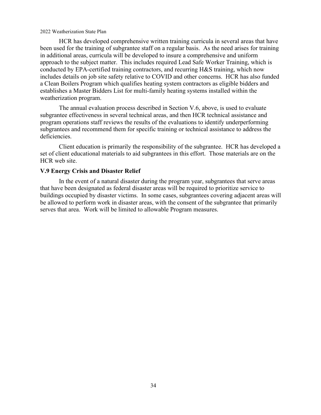HCR has developed comprehensive written training curricula in several areas that have been used for the training of subgrantee staff on a regular basis. As the need arises for training in additional areas, curricula will be developed to insure a comprehensive and uniform approach to the subject matter. This includes required Lead Safe Worker Training, which is conducted by EPA-certified training contractors, and recurring H&S training, which now includes details on job site safety relative to COVID and other concerns. HCR has also funded a Clean Boilers Program which qualifies heating system contractors as eligible bidders and establishes a Master Bidders List for multi-family heating systems installed within the weatherization program.

The annual evaluation process described in Section V.6, above, is used to evaluate subgrantee effectiveness in several technical areas, and then HCR technical assistance and program operations staff reviews the results of the evaluations to identify underperforming subgrantees and recommend them for specific training or technical assistance to address the deficiencies.

Client education is primarily the responsibility of the subgrantee. HCR has developed a set of client educational materials to aid subgrantees in this effort. Those materials are on the HCR web site.

### **V.9 Energy Crisis and Disaster Relief**

In the event of a natural disaster during the program year, subgrantees that serve areas that have been designated as federal disaster areas will be required to prioritize service to buildings occupied by disaster victims. In some cases, subgrantees covering adjacent areas will be allowed to perform work in disaster areas, with the consent of the subgrantee that primarily serves that area. Work will be limited to allowable Program measures.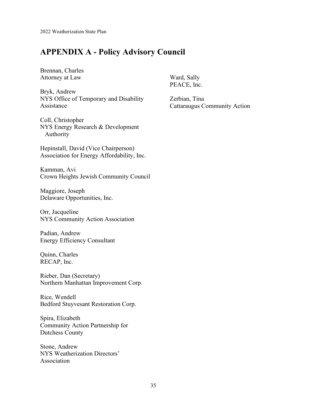# **APPENDIX A - Policy Advisory Council**

Brennan, Charles Attorney at Law

Bryk, Andrew NYS Office of Temporary and Disability Assistance

Coll, Christopher NYS Energy Research & Development Authority

Hepinstall, David (Vice Chairperson) Association for Energy Affordability, Inc.

Kamman, Avi Crown Heights Jewish Community Council

Maggiore, Joseph Delaware Opportunities, Inc.

Orr, Jacqueline NYS Community Action Association

Padian, Andrew Energy Efficiency Consultant

Quinn, Charles RECAP, Inc.

Rieber, Dan (Secretary) Northern Manhattan Improvement Corp.

Rice, Wendell Bedford Stuyvesant Restoration Corp.

Spira, Elizabeth Community Action Partnership for Dutchess County

Stone, Andrew NYS Weatherization Directors' Association

Ward, Sally PEACE, Inc.

Zerbian, Tina Cattaraugus Community Action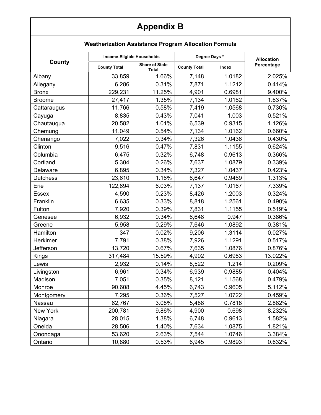# **Appendix B**

### **Weatherization Assistance Program Allocation Formula**

|                 | Income-Eligible Households |                                       | Degree Days *       | <b>Allocation</b> |            |
|-----------------|----------------------------|---------------------------------------|---------------------|-------------------|------------|
| County          | <b>County Total</b>        | <b>Share of State</b><br><b>Total</b> | <b>County Total</b> | Index             | Percentage |
| Albany          | 33,859                     | 1.66%                                 | 7,148               | 1.0182            | 2.025%     |
| Allegany        | 6,286                      | 0.31%                                 | 7,871               | 1.1212            | 0.414%     |
| <b>Bronx</b>    | 229,231                    | 11.25%                                | 4,901               | 0.6981            | 9.400%     |
| <b>Broome</b>   | 27,417                     | 1.35%                                 | 7,134               | 1.0162            | 1.637%     |
| Cattaraugus     | 11,766                     | 0.58%                                 | 7,419               | 1.0568            | 0.730%     |
| Cayuga          | 8,835                      | 0.43%                                 | 7,041               | 1.003             | 0.521%     |
| Chautauqua      | 20,582                     | 1.01%                                 | 6,539               | 0.9315            | 1.126%     |
| Chemung         | 11,049                     | 0.54%                                 | 7,134               | 1.0162            | 0.660%     |
| Chenango        | 7,022                      | 0.34%                                 | 7,326               | 1.0436            | 0.430%     |
| Clinton         | 9,516                      | 0.47%                                 | 7,831               | 1.1155            | 0.624%     |
| Columbia        | 6,475                      | 0.32%                                 | 6,748               | 0.9613            | 0.366%     |
| Cortland        | 5,304                      | 0.26%                                 | 7,637               | 1.0879            | 0.339%     |
| <b>Delaware</b> | 6,895                      | 0.34%                                 | 7,327               | 1.0437            | 0.423%     |
| <b>Dutchess</b> | 23,610                     | 1.16%                                 | 6,647               | 0.9469            | 1.313%     |
| Erie            | 122,894                    | 6.03%                                 | 7,137               | 1.0167            | 7.339%     |
| Essex           | 4,590                      | 0.23%                                 | 8,426               | 1.2003            | 0.324%     |
| Franklin        | 6,635                      | 0.33%                                 | 8,818               | 1.2561            | 0.490%     |
| Fulton          | 7,920                      | 0.39%                                 | 7,831               | 1.1155            | 0.519%     |
| Genesee         | 6,932                      | 0.34%                                 | 6,648               | 0.947             | 0.386%     |
| Greene          | 5,958                      | 0.29%                                 | 7,646               | 1.0892            | 0.381%     |
| Hamilton        | 347                        | 0.02%                                 | 9,206               | 1.3114            | 0.027%     |
| Herkimer        | 7,791                      | 0.38%                                 | 7,926               | 1.1291            | 0.517%     |
| Jefferson       | 13,720                     | 0.67%                                 | 7,635               | 1.0876            | 0.876%     |
| Kings           | 317,484                    | 15.59%                                | 4,902               | 0.6983            | 13.022%    |
| Lewis           | 2,932                      | 0.14%                                 | 8,522               | 1.214             | 0.209%     |
| Livingston      | 6,961                      | 0.34%                                 | 6,939               | 0.9885            | 0.404%     |
| Madison         | 7,051                      | 0.35%                                 | 8,121               | 1.1568            | 0.479%     |
| Monroe          | 90,608                     | 4.45%                                 | 6,743               | 0.9605            | 5.112%     |
| Montgomery      | 7,295                      | 0.36%                                 | 7,527               | 1.0722            | 0.459%     |
| Nassau          | 62,767                     | 3.08%                                 | 5,488               | 0.7818            | 2.882%     |
| New York        | 200,781                    | 9.86%                                 | 4,900               | 0.698             | 8.232%     |
| Niagara         | 28,015                     | 1.38%                                 | 6,748               | 0.9613            | 1.582%     |
| Oneida          | 28,506                     | 1.40%                                 | 7,634               | 1.0875            | 1.821%     |
| Onondaga        | 53,620                     | 2.63%                                 | 7,544               | 1.0746            | 3.384%     |
| Ontario         | 10,880                     | 0.53%                                 | 6,945               | 0.9893            | 0.632%     |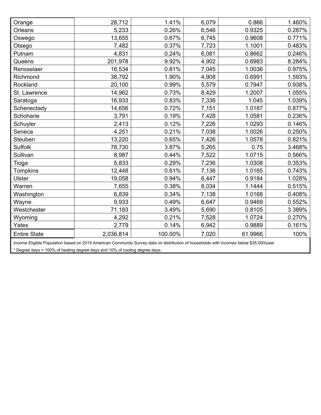| Orange              | 28,712    | 1.41%   | 6,079 | 0.866   | 1.460% |
|---------------------|-----------|---------|-------|---------|--------|
| Orleans             | 5,233     | 0.26%   | 6,546 | 0.9325  | 0.287% |
| Oswego              | 13,655    | 0.67%   | 6,745 | 0.9608  | 0.771% |
| Otsego              | 7,482     | 0.37%   | 7,723 | 1.1001  | 0.483% |
| Putnam              | 4,831     | 0.24%   | 6,081 | 0.8662  | 0.246% |
| Queens              | 201,978   | 9.92%   | 4,902 | 0.6983  | 8.284% |
| Rensselaer          | 16,534    | 0.81%   | 7,045 | 1.0036  | 0.975% |
| Richmond            | 38,792    | 1.90%   | 4,908 | 0.6991  | 1.593% |
| Rockland            | 20,100    | 0.99%   | 5,579 | 0.7947  | 0.938% |
| St. Lawrence        | 14,962    | 0.73%   | 8,429 | 1.2007  | 1.055% |
| Saratoga            | 16,933    | 0.83%   | 7,336 | 1.045   | 1.039% |
| Schenectady         | 14,656    | 0.72%   | 7,151 | 1.0187  | 0.877% |
| Schoharie           | 3,791     | 0.19%   | 7,428 | 1.0581  | 0.236% |
| Schuyler            | 2,413     | 0.12%   | 7,226 | 1.0293  | 0.146% |
| Seneca              | 4,251     | 0.21%   | 7,038 | 1.0026  | 0.250% |
| Steuben             | 13,220    | 0.65%   | 7,426 | 1.0578  | 0.821% |
| <b>Suffolk</b>      | 78,730    | 3.87%   | 5,265 | 0.75    | 3.468% |
| Sullivan            | 8,987     | 0.44%   | 7,522 | 1.0715  | 0.566% |
| Tioga               | 5,833     | 0.29%   | 7,236 | 1.0308  | 0.353% |
| <b>Tompkins</b>     | 12,448    | 0.61%   | 7,136 | 1.0165  | 0.743% |
| <b>Ulster</b>       | 19,058    | 0.94%   | 6,447 | 0.9184  | 1.028% |
| Warren              | 7,655     | 0.38%   | 8,034 | 1.1444  | 0.515% |
| Washington          | 6,839     | 0.34%   | 7,138 | 1.0168  | 0.408% |
| Wayne               | 9,933     | 0.49%   | 6,647 | 0.9469  | 0.552% |
| Westchester         | 71,183    | 3.49%   | 5,690 | 0.8105  | 3.389% |
| Wyoming             | 4,292     | 0.21%   | 7,528 | 1.0724  | 0.270% |
| Yates               | 2,779     | 0.14%   | 6,942 | 0.9889  | 0.161% |
| <b>Entire State</b> | 2,036,814 | 100.00% | 7,020 | 61.9966 | 100%   |

Income Eligible Population based on 2019 American Community Survey data on distribution of households with incomes below \$35,000/year

\* Degree days = 100% of heating degree days and 10% of cooling degree days.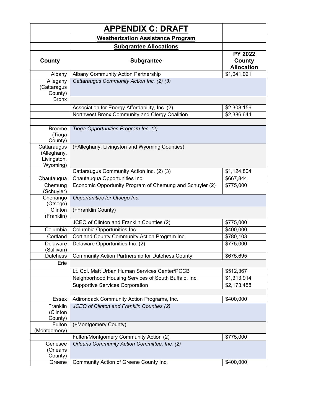|                                                       | <b>APPENDIX C: DRAFT</b>                                 |                                               |  |  |  |  |
|-------------------------------------------------------|----------------------------------------------------------|-----------------------------------------------|--|--|--|--|
|                                                       | <b>Weatherization Assistance Program</b>                 |                                               |  |  |  |  |
|                                                       | <b>Subgrantee Allocations</b>                            |                                               |  |  |  |  |
| County                                                | <b>Subgrantee</b>                                        | <b>PY 2022</b><br>County<br><b>Allocation</b> |  |  |  |  |
| Albany                                                | Albany Community Action Partnership                      | \$1,041,021                                   |  |  |  |  |
| Allegany<br>(Cattaragus<br>County)                    | Cattaraugus Community Action Inc. (2) (3)                |                                               |  |  |  |  |
| <b>Bronx</b>                                          |                                                          |                                               |  |  |  |  |
|                                                       | Association for Energy Affordability, Inc. (2)           | \$2,308,156                                   |  |  |  |  |
|                                                       | Northwest Bronx Community and Clergy Coalition           | \$2,386,644                                   |  |  |  |  |
|                                                       |                                                          |                                               |  |  |  |  |
| <b>Broome</b><br>(Tioga<br>County)                    | Tioga Opportunities Program Inc. (2)                     |                                               |  |  |  |  |
| Cattaraugus<br>(Alleghany,<br>Livingston,<br>Wyoming) | (+Alleghany, Livingston and Wyoming Counties)            |                                               |  |  |  |  |
|                                                       | Cattaraugus Community Action Inc. (2) (3)                | \$1,124,804                                   |  |  |  |  |
| Chautauqua                                            | Chautauqua Opportunities Inc.                            | \$667,844                                     |  |  |  |  |
| Chemung<br>(Schuyler)                                 | Economic Opportunity Program of Chemung and Schuyler (2) | \$775,000                                     |  |  |  |  |
| Chenango<br>(Otsego)                                  | Opportunities for Otsego Inc.                            |                                               |  |  |  |  |
| Clinton<br>(Franklin)                                 | (+Franklin County)                                       |                                               |  |  |  |  |
|                                                       | JCEO of Clinton and Franklin Counties (2)                | \$775,000                                     |  |  |  |  |
| Columbia                                              | Columbia Opportunities Inc.                              | \$400,000                                     |  |  |  |  |
| Cortland                                              | Cortland County Community Action Program Inc.            | \$780,103                                     |  |  |  |  |
| Delaware<br>(Sullivan)                                | Delaware Opportunities Inc. (2)                          | \$775,000                                     |  |  |  |  |
| Dutchess                                              | Community Action Partnership for Dutchess County         | \$675,695                                     |  |  |  |  |
| Erie                                                  |                                                          |                                               |  |  |  |  |
|                                                       | Lt. Col. Matt Urban Human Services Center/PCCB           | \$512,367                                     |  |  |  |  |
|                                                       | Neighborhood Housing Services of South Buffalo, Inc.     | \$1,313,914                                   |  |  |  |  |
|                                                       | <b>Supportive Services Corporation</b>                   | \$2,173,458                                   |  |  |  |  |
|                                                       |                                                          |                                               |  |  |  |  |
| Essex                                                 | Adirondack Community Action Programs, Inc.               | \$400,000                                     |  |  |  |  |
| Franklin<br>(Clinton<br>County)                       | JCEO of Clinton and Franklin Counties (2)                |                                               |  |  |  |  |
| Fulton<br>(Montgomery)                                | (+Montgomery County)                                     |                                               |  |  |  |  |
|                                                       | Fulton/Montgomery Community Action (2)                   | \$775,000                                     |  |  |  |  |
| Genesee<br>(Orleans<br>County)                        | Orleans Community Action Committee, Inc. (2)             |                                               |  |  |  |  |
| Greene                                                | Community Action of Greene County Inc.                   | \$400,000                                     |  |  |  |  |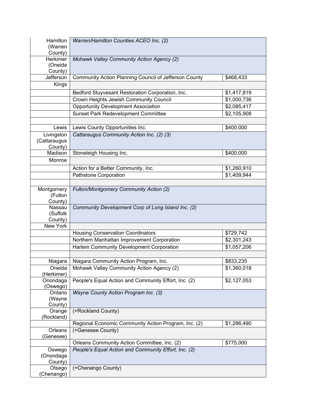| Hamilton<br>(Warren<br>County)        | Warren/Hamilton Counties ACEO Inc. (2)                |                         |
|---------------------------------------|-------------------------------------------------------|-------------------------|
| Herkimer<br>(Oneida<br>County)        | Mohawk Valley Community Action Agency (2)             |                         |
| Jefferson                             | Community Action Planning Council of Jefferson County | \$468,433               |
| Kings                                 |                                                       |                         |
|                                       | Bedford Stuyvesant Restoration Corporation, Inc.      | \$1,417,819             |
|                                       | Crown Heights Jewish Community Council                | \$1,000,736             |
|                                       | <b>Opportunity Development Association</b>            | \$2,085,417             |
|                                       | <b>Sunset Park Redevelopment Committee</b>            | $\overline{$2,105,908}$ |
|                                       |                                                       |                         |
| Lewis                                 | Lewis County Opportunities Inc.                       | \$400,000               |
| Livingston<br>(Cattaraugus<br>County) | Cattaraugus Community Action Inc. (2) (3)             |                         |
| Madison                               | Stoneleigh Housing Inc.                               | \$400,000               |
| Monroe                                |                                                       |                         |
|                                       | Action for a Better Community, Inc.                   | \$1,260,910             |
|                                       | Pathstone Corporation                                 | \$1,409,944             |
|                                       |                                                       |                         |
| Montgomery<br>(Fulton<br>County)      | Fulton/Montgomery Community Action (2)                |                         |
| Nassau<br>(Suffolk<br>County)         | Community Development Corp of Long Island Inc. (2)    |                         |
| New York                              |                                                       |                         |
|                                       | <b>Housing Conservation Coordinators</b>              | \$729,742               |
|                                       | Northern Manhattan Improvement Corporation            | \$2,301,243             |
|                                       | Harlem Community Development Corporation              | \$1,057,206             |
|                                       |                                                       |                         |
| Niagara                               | Niagara Community Action Program, Inc.                | \$833,235               |
| Oneida<br>(Herkimer)                  | Mohawk Valley Community Action Agency (2)             | \$1,360,018             |
| Onondaga<br>(Oswego)                  | People's Equal Action and Community Effort, Inc. (2)  | \$2,127,053             |
| Ontario<br>(Wayne<br>County)          | Wayne County Action Program Inc. (3)                  |                         |
| Orange<br>(Rockland)                  | (+Rockland County)                                    |                         |
|                                       | Regional Economic Community Action Program, Inc. (2)  | \$1,286,490             |
| Orleans<br>Genesee)                   | (+Genesee County)                                     |                         |
|                                       | Orleans Community Action Committee, Inc. (2)          | \$775,000               |
| Oswego<br>(Onondaga<br>County)        | People's Equal Action and Community Effort, Inc. (2)  |                         |
| Otsego<br>(Chenango)                  | (+Chenango County)                                    |                         |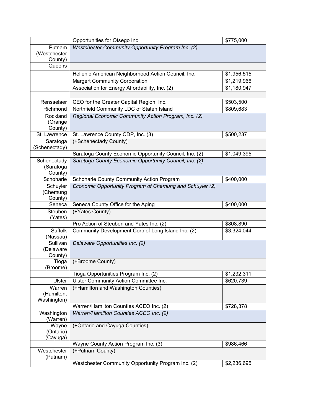|                      | \$775,000<br>Opportunities for Otsego Inc.               |             |  |  |  |
|----------------------|----------------------------------------------------------|-------------|--|--|--|
| Putnam               | Westchester Community Opportunity Program Inc. (2)       |             |  |  |  |
| (Westchester         |                                                          |             |  |  |  |
| County)              |                                                          |             |  |  |  |
| Queens               |                                                          |             |  |  |  |
|                      | Hellenic American Neighborhood Action Council, Inc.      | \$1,956,515 |  |  |  |
|                      | <b>Margert Community Corporation</b>                     | \$1,219,966 |  |  |  |
|                      | Association for Energy Affordability, Inc. (2)           | \$1,180,947 |  |  |  |
|                      |                                                          |             |  |  |  |
| Rensselaer           | CEO for the Greater Capital Region, Inc.                 | \$503,500   |  |  |  |
| Richmond             | Northfield Community LDC of Staten Island                | \$809,683   |  |  |  |
| Rockland             | Regional Economic Community Action Program, Inc. (2)     |             |  |  |  |
| (Orange              |                                                          |             |  |  |  |
| County)              |                                                          |             |  |  |  |
| St. Lawrence         | St. Lawrence County CDP, Inc. (3)                        | \$500,237   |  |  |  |
| Saratoga             | (+Schenectady County)                                    |             |  |  |  |
| (Schenectady)        | Saratoga County Economic Opportunity Council, Inc. (2)   | \$1,049,395 |  |  |  |
| Schenectady          | Saratoga County Economic Opportunity Council, Inc. (2)   |             |  |  |  |
| (Saratoga            |                                                          |             |  |  |  |
| County)              |                                                          |             |  |  |  |
| Schoharie            | Schoharie County Community Action Program                | \$400,000   |  |  |  |
| Schuyler             | Economic Opportunity Program of Chemung and Schuyler (2) |             |  |  |  |
| (Chemung             |                                                          |             |  |  |  |
| County)              |                                                          |             |  |  |  |
| Seneca               | Seneca County Office for the Aging                       | \$400,000   |  |  |  |
| Steuben              | (+Yates County)                                          |             |  |  |  |
| (Yates)              |                                                          |             |  |  |  |
|                      | Pro Action of Steuben and Yates Inc. (2)                 | \$808,890   |  |  |  |
| Suffolk              | Community Development Corp of Long Island Inc. (2)       | \$3,324,044 |  |  |  |
| (Nassau)<br>Sullivan |                                                          |             |  |  |  |
| (Delaware            | Delaware Opportunities Inc. (2)                          |             |  |  |  |
| County)              |                                                          |             |  |  |  |
| Tioga                | (+Broome County)                                         |             |  |  |  |
| (Broome)             |                                                          |             |  |  |  |
|                      | Tioga Opportunities Program Inc. (2)                     | \$1,232,311 |  |  |  |
| Ulster               | Ulster Community Action Committee Inc.                   | \$620,739   |  |  |  |
| Warren               | (+Hamilton and Washington Counties)                      |             |  |  |  |
| (Hamilton,           |                                                          |             |  |  |  |
| Washington)          |                                                          |             |  |  |  |
|                      | Warren/Hamilton Counties ACEO Inc. (2)                   | \$728,378   |  |  |  |
| Washington           | Warren/Hamilton Counties ACEO Inc. (2)                   |             |  |  |  |
| (Warren)             |                                                          |             |  |  |  |
| Wayne<br>(Ontario)   | (+Ontario and Cayuga Counties)                           |             |  |  |  |
| (Cayuga)             |                                                          |             |  |  |  |
|                      | \$986,466<br>Wayne County Action Program Inc. (3)        |             |  |  |  |
|                      |                                                          |             |  |  |  |
| Westchester          | (+Putnam County)                                         |             |  |  |  |
| (Putnam)             |                                                          |             |  |  |  |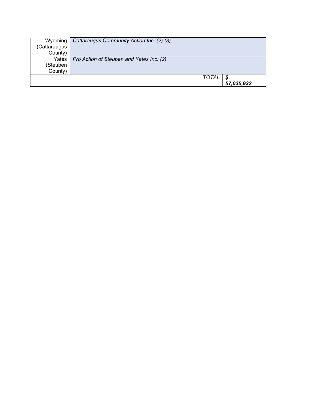| Wyoming      | Cattaraugus Community Action Inc. (2) (3) |            |
|--------------|-------------------------------------------|------------|
| (Cattaraugus |                                           |            |
| County)      |                                           |            |
| Yates        | Pro Action of Steuben and Yates Inc. (2)  |            |
| (Steuben     |                                           |            |
| County)      |                                           |            |
|              | TOTAL                                     |            |
|              |                                           | 57,035,932 |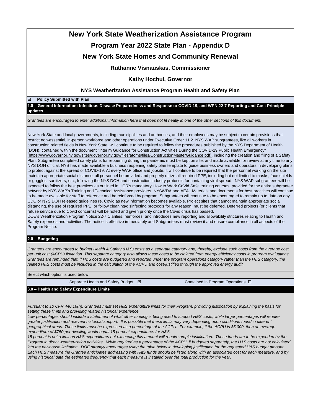# **New York State Weatherization Assistance Program Program Year 2022 State Plan - Appendix D**

# **New York State Homes and Community Renewal**

**Ruthanne Visnauskas, Commissioner**

### **Kathy Hochul, Governor**

### **NYS Weatherization Assistance Program Health and Safety Plan**

#### **Policy Submitted with Plan**

**1.0 – General Information: Infectious Disease Preparedness and Response to COVID-19, and WPN 22-7 Reporting and Cost Principle updates**

*Grantees are encouraged to enter additional information here that does not fit neatly in one of the other sections of this document.*

New York State and local governments, including municipalities and authorities, and their employees may be subject to certain provisions that restrict non-essential, in-person workforce and other operations under Executive Order 11.2. NYS WAP subgrantees, like all workers in construction related fields in New York State, will continue to be required to follow the procedures published by the NYS Department of Health (DOH), contained within the document "Interim Guidance for Construction Activities During the COVID-19 Public Health Emergency" (https://www.governor.ny.gov/sites/governor.ny.gov/files/atoms/files/ConstructionMasterGuidance.pdf), including the creation and filing of a Safety Plan. Subgrantee completed safety plans for reopening during the pandemic must be kept on site, and made available for review at any time to any NYS DOH official. NYS has made available a business reopening safety plan template to guide business owners and operators in developing plans to protect against the spread of COVID-19. At every WAP office and jobsite, it will continue to be required that the personnel working on the site maintain appropriate social distance, all personnel be provided and properly utilize all required PPE, including but not limited to masks, face shields or goggles, sanitizers, etc., following the NYS DOH and construction industry protocols for containing viral spread. NYS WAP subgrantees will be expected to follow the best practices as outlined in HCR's mandatory 'How to Work CoVid Safe' training courses, provided for the entire subgrantee network by NYS WAP's Training and Technical Assistance providers, NYSWDA and AEA . Materials and documents for best practices will continue to be made available for staff to reference and be reinforced by program. Subgrantees will continue to be encouraged to remain up to date on any CDC or NYS DOH released guidelines re. Covid as new information becomes available. Project sites that cannot maintain appropriate social distancing, the use of required PPE, or follow cleaning/disinfecting protocols for any reason, must be deferred. Deferred projects (or clients that refuse service due to Covid concerns) will be noted and given priority once the Covid crisis has passed.

DOE's Weatherization Program Notice 22-7 Clarifies, reinforces, and introduces new reporting and allowability strictures relating to Health and Safety expenses and activities. The notice is effective immediately and Subgrantees must review it and ensure compliance in all aspects of the Program Notice.

### **2.0 – Budgeting**

*Grantees are encouraged to budget Health & Safety (H&S) costs as a separate category and, thereby, exclude such costs from the average cost per unit cost (ACPU) limitation. This separate category also allows these costs to be isolated from energy efficiency costs in program evaluations. Grantees are reminded that, if H&S costs are budgeted and reported under the program operations category rather than the H&S category, the related H&S costs must be included in the calculation of the ACPU and cost-justified through the approved energy audit.*

Select which option is used below.

Separate Health and Safety Budget  $\boxtimes$  Contained in Program Operations  $\Box$ 

### **3.0 – Health and Safety Expenditure Limits**

*Pursuant to 10 CFR 440.16(h), Grantees must set H&S expenditure limits for their Program, providing justification by explaining the basis for setting these limits and providing related historical experience.*

Low percentages should include a statement of what other funding is being used to support H&S costs, while larger percentages will require *greater justification and relevant historical support. It is possible that these limits may vary depending upon conditions found in different geographical areas. These limits must be expressed as a percentage of the ACPU. For example, if the ACPU is \$5,000, then an average expenditure of \$750 per dwelling would equal 15 percent expenditures for H&S.*

*15 percent is not a limit on H&S expenditures but exceeding this amount will require ample justification. These funds are to be expended by the Program in direct weatherization activities. While required as a percentage of the ACPU, if budgeted separately, the H&S costs are not calculated*  into the per-house limitation. DOE strongly encourages using the table below in developing justification for the requested H&S budget amount. *Each H&S measure the Grantee anticipates addressing with H&S funds should be listed along with an associated cost for each measure, and by using historical data the estimated frequency that each measure is installed over the total production for the year.*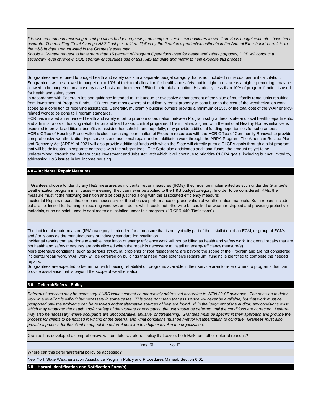*It is also recommend reviewing recent previous budget requests, and compare versus expenditures to see if previous budget estimates have been accurate. The resulting "Total Average H&S Cost per Unit" multiplied by the Grantee's production estimate in the Annual File should correlate to the H&S budget amount listed in the Grantee's state plan.*

*Should a Grantee request to have more than 15 percent of Program Operations used for health and safety purposes, DOE will conduct a secondary level of review. DOE strongly encourages use of this H&S template and matrix to help expedite this process.*

Subgrantees are required to budget health and safety costs in a separate budget category that is not included in the cost per unit calculation. Subgrantees will be allowed to budget up to 10% of their total allocation for health and safety, but in higher-cost areas a higher percentage may be allowed to be budgeted on a case-by-case basis, not to exceed 15% of their total allocation. Historically, less than 10% of program funding is used for health and safety costs.

In accordance with Federal rules and guidance intended to limit undue or excessive enhancement of the value of multifamily rental units resulting from investment of Program funds, HCR requests most owners of multifamily rental property to contribute to the cost of the weatherization work scope as a condition of receiving assistance. Generally, multifamily building owners provide a minimum of 25% of the total cost of the WAP energyrelated work to be done to Program standards.

HCR has initiated an enhanced health and safety effort to promote coordination between Program subgrantees, state and local health departments, and administrators of housing rehabilitation and lead hazard control programs. This initiative, aligned with the national Healthy Homes initiative, is expected to provide additional benefits to assisted households and hopefully, may provide additional funding opportunities for subgrantees. HCR's Office of Housing Preservation is also increasing coordination of Program resources with the HCR Office of Community Renewal to provide comprehensive weatherization-type services and additional repair and rehabilitation work through the ARPA Program. The American Rescue Plan and Recovery Act (ARPA) of 2021 will also provide additional funds with which the State will directly pursue CLCPA goals through a pilot program that will be delineated in separate contracts with the subgrantees. The State also anticipates additional funds, the amount as yet to be undetermined, through the Infrastructure Investment and Jobs Act, with which it will continue to prioritize CLCPA goals, including but not limited to, addressing H&S issues in low income housing.

#### **4.0 – Incidental Repair Measures**

If Grantees choose to identify any H&S measures as incidental repair measures (IRMs), they must be implemented as such under the Grantee's weatherization program in all cases – meaning, they can never be applied to the H&S budget category. In order to be considered IRMs, the measure must fit the following definition and be cost justified along with the associated efficiency measure;

Incidental Repairs means those repairs necessary for the effective performance or preservation of weatherization materials. Such repairs include, but are not limited to, framing or repairing windows and doors which could not otherwise be caulked or weather-stripped and providing protective materials, such as paint, used to seal materials installed under this program. (10 CFR 440 "Definitions")

The incidental repair measure (IRM) category is intended for a measure that is not typically part of the installation of an ECM, or group of ECMs, and / or is outside the manufacturer's or industry standard for installation.

Incidental repairs that are done to enable installation of energy efficiency work will not be billed as health and safety work. Incidental repairs that are not health and safety measures are only allowed when the repair is necessary to install an energy efficiency measure(s).

More extensive conditions, such as serious structural problems or roof replacement, are beyond the scope of the Program and are not considered incidental repair work. WAP work will be deferred on buildings that need more extensive repairs until funding is identified to complete the needed repairs.

Subgrantees are expected to be familiar with housing rehabilitation programs available in their service area to refer owners to programs that can provide assistance that is beyond the scope of weatherization.

#### **5.0 – Deferral/Referral Policy**

*Deferral of services may be necessary if H&S issues cannot be adequately addressed according to WPN 22-07 guidance. The decision to defer*  work in a dwelling is difficult but necessary in some cases. This does not mean that assistance will never be available, but that work must be postponed until the problems can be resolved and/or alternative sources of help are found. If, in the judgment of the auditor, any conditions exist which may endanger the health and/or safety of the workers or occupants, the unit should be deferred until the conditions are corrected. Deferral *may also be necessary where occupants are uncooperative, abusive, or threatening. Grantees must be specific in their approach and provide the process for clients to be notified in writing of the deferral and what conditions must be met for weatherization to continue. Grantees must also provide a process for the client to appeal the deferral decision to a higher level in the organization.*

Grantee has developed a comprehensive written deferral/referral policy that covers both H&S, and other deferral reasons?

Yes **☑** No ロ

Where can this deferral/referral policy be accessed?

New York State Weatherization Assistance Program Policy and Procedures Manual, Section 6.01

**6.0 – Hazard Identification and Notification Form(s)**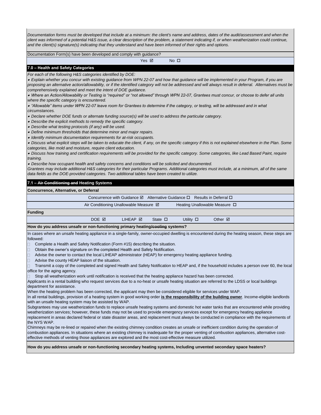*Documentation forms must be developed that include at a minimum: the client's name and address, dates of the audit/assessment and when the*  client was informed of a potential H&S issue, a clear description of the problem, a statement indicating if, or when weatherization could continue, *and the client(s) signature(s) indicating that they understand and have been informed of their rights and options.*

Documentation Form(s) have been developed and comply with guidance?

Yes **Ø** No **□** 

#### **7.0 – Health and Safety Categories**

*For each of the following H&S categories identified by DOE:*

• *Explain whether you concur with existing guidance from WPN 22-07 and how that guidance will be implemented in your Program, if you are proposing an alternative action/allowability, or if the identified category will not be addressed and will always result in deferral. Alternatives must be comprehensively explained and meet the intent of DOE guidance.* 

• *Where an Action/Allowability or Testing is "required" or "not allowed" through WPN 22-07, Grantees must concur, or choose to defer all units where the specific category is encountered.*

• *"Allowable" items under WPN 22-07 leave room for Grantees to determine if the category, or testing, will be addressed and in what* 

*circumstances.*

• *Declare whether DOE funds or alternate funding source(s) will be used to address the particular category.*

• *Describe the explicit methods to remedy the specific category.*

• *Describe what testing protocols (if any) will be used.*

• *Define minimum thresholds that determine minor and major repairs.*

• *Identify minimum documentation requirements for at-risk occupants.*

• *Discuss what explicit steps will be taken to educate the client, if any, on the specific category if this is not explained elsewhere in the Plan. Some categories, like mold and moisture, require client education.*

• *Discuss how training and certification requirements will be provided for the specific category. Some categories, like Lead Based Paint, require training.*

• *Describe how occupant health and safety concerns and conditions will be solicited and documented.*

*Grantees may include additional H&S categories for their particular Programs. Additional categories must include, at a minimum, all of the same data fields as the DOE-provided categories. Two additional tables have been created to utilize.*

#### **7.1 – Air Conditioning and Heating Systems**

| Concurrence, Alternative, or Deferral                                                                                         |       |                                                  |                 |                                                                                                    |                                    |  |
|-------------------------------------------------------------------------------------------------------------------------------|-------|--------------------------------------------------|-----------------|----------------------------------------------------------------------------------------------------|------------------------------------|--|
|                                                                                                                               |       |                                                  |                 | Concurrence with Guidance $\boxtimes$ Alternative Guidance $\square$ Results in Deferral $\square$ |                                    |  |
|                                                                                                                               |       | Air Conditioning Unallowable Measure $\boxtimes$ |                 |                                                                                                    | Heating Unallowable Measure $\Box$ |  |
| <b>Funding</b>                                                                                                                |       |                                                  |                 |                                                                                                    |                                    |  |
|                                                                                                                               | DOE M | I IHFAP <b>⊠</b>                                 | State $\square$ | Utility $\Box$                                                                                     | Other $\boxtimes$                  |  |
| <b>If the contract the company of the contract of the contract of the contract of the contract of <math>\mathbf{A}</math></b> |       |                                                  |                 |                                                                                                    |                                    |  |

#### **How do you address unsafe or non-functioning primary heating/cooling systems?**

In cases where an unsafe heating appliance in a single-family, owner-occupied dwelling is encountered during the heating season, these steps are followed:

□ Complete a Health and Safety Notification (Form #15) describing the situation.

□ Obtain the owner's signature on the completed Health and Safety Notification.

- Advise the owner to contact the local LIHEAP administrator (HEAP) for emergency heating appliance funding.
- Advise the county HEAP liaison of the situation.

 Transmit a copy of the completed and signed Health and Safety Notification to HEAP and, if the household includes a person over 60, the local office for the aging agency.

Stop all weatherization work until notification is received that the heating appliance hazard has been corrected.

Applicants in a rental building who request services due to a no-heat or unsafe heating situation are referred to the LDSS or local buildings department for assistance.

When the heating problem has been corrected, the applicant may then be considered eligible for services under WAP. In all rental buildings, provision of a heating system in good working order **is the responsibility of the building owner**. Income-eligible landlords with an unsafe heating system may be assisted by WAP.

Subgrantees may use weatherization funds to replace unsafe heating systems and domestic hot water tanks that are encountered while providing weatherization services; however, these funds may not be used to provide emergency services except for emergency heating appliance replacement in areas declared federal or state disaster areas, and replacement must always be conducted in compliance with the requirements of the NYS WAP.

Chimneys may be re-lined or repaired when the existing chimney condition creates an unsafe or inefficient condition during the operation of combustion appliances. In situations where an existing chimney is inadequate for the proper venting of combustion appliances, alternative costeffective methods of venting those appliances are explored and the most cost-effective measure utilized.

**How do you address unsafe or non-functioning secondary heating systems, Including unvented secondary space heaters?**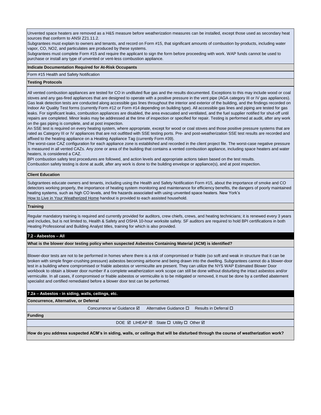Unvented space heaters are removed as a H&S measure before weatherization measures can be installed, except those used as secondary heat sources that conform to ANSI Z21.11.2.

Subgrantees must explain to owners and tenants, and record on Form #15, that significant amounts of combustion by-products, including water vapor, CO, NO2, and particulates are produced by these systems.

Subgrantees must complete Form #15 and require the applicant to sign the form before proceeding with work. WAP funds cannot be used to purchase or install any type of unvented or vent-less combustion appliance.

#### **Indicate Documentation Required for At-Risk Occupants**

Form #15 Health and Safety Notification

#### **Testing Protocols**

All vented combustion appliances are tested for CO in undiluted flue gas and the results documented. Exceptions to this may include wood or coal stoves and any gas-fired appliances that are designed to operate with a positive pressure in the vent pipe (AGA category III or IV gas appliances). Gas leak detection tests are conducted along accessible gas lines throughout the interior and exterior of the building, and the findings recorded on Indoor Air Quality Test forms (currently Form #12 or Form #14 depending on building type). All accessible gas lines and piping are tested for gas leaks. For significant leaks, combustion appliances are disabled, the area evacuated and ventilated, and the fuel supplier notified for shut-off until repairs are completed. Minor leaks may be addressed at the time of inspection or specified for repair. Testing is performed at audit, after any work on the gas piping is complete, and at post inspection.

An SSE test is required on every heating system, where appropriate, except for wood or coal stoves and those positive pressure systems that are rated as Category III or IV appliances that are not outfitted with SSE testing ports. Pre- and post-weatherization SSE test results are recorded and affixed to the heating appliance on a Heating Appliance Tag (currently Form #39).

The worst-case CAZ configuration for each appliance zone is established and recorded in the client project file. The worst-case negative pressure is measured in all vented CAZs. Any zone or area of the building that contains a vented combustion appliance, including space heaters and water heaters, is considered a CAZ.

BPI combustion safety test procedures are followed, and action levels and appropriate actions taken based on the test results. Combustion safety testing is done at audit, after any work is done to the building envelope or appliance(s), and at post inspection.

#### **Client Education**

Subgrantees educate owners and tenants, including using the Health and Safety Notification Form #15, about the importance of smoke and CO detectors working properly, the importance of heating system monitoring and maintenance for efficiency benefits, the dangers of poorly maintained heating systems, such as high CO levels, and fire hazards associated with using unvented space heaters. New York's How to Live in Your Weatherized Home handout is provided to each assisted household.

#### **Training**

Regular mandatory training is required and currently provided for auditors, crew chiefs, crews, and heating technicians; it is renewed every 3 years and includes, but is not limited to, Health & Safety and OSHA 10-hour worksite safety. SF auditors are required to hold BPI certifications in both Heating Professional and Building Analyst titles, training for which is also provided.

#### **7.2 - Asbestos – All**

**What is the blower door testing policy when suspected Asbestos Containing Material (ACM) is identified?**

Blower-door tests are not to be performed in homes where there is a risk of compromised or friable (so soft and weak in structure that it can be broken with simple finger-crushing pressure) asbestos becoming airborne and being drawn into the dwelling. Subgrantees cannot do a blower-door test in a building where compromised or friable asbestos or vermiculite are present. They can utilize the NYS WAP Estimated Blower Door workbook to obtain a blower door number if a complete weatherization work scope can still be done without disturbing the intact asbestos and/or vermiculite. In all cases, if compromised or friable asbestos or vermiculite is to be mitigated or removed, it must be done by a certified abatement specialist and certified remediated before a blower door test can be performed.

#### **7.2a – Asbestos - in siding, walls, ceilings, etc.**

**Concurrence, Alternative, or Deferral**

Concurrence w/ Guidance  $\boxtimes$  Alternative Guidance  $\Box$  Results in Deferral  $\Box$ 

**Funding**

DOE **Ø LIHEAP Ø** State **□ Utility □ Other Ø** 

**How do you address suspected ACM's in siding, walls, or ceilings that will be disturbed through the course of weatherization work?**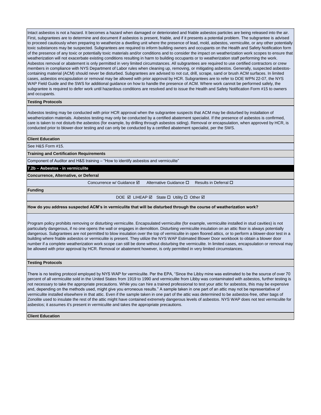Intact asbestos is not a hazard. It becomes a hazard when damaged or deteriorated and friable asbestos particles are being released into the air. First, subgrantees are to determine and document if asbestos is present, friable, and if it presents a potential problem. The subgrantee is advised to proceed cautiously when preparing to weatherize a dwelling unit where the presence of lead, mold, asbestos, vermiculite, or any other potentially toxic substances may be suspected. Subgrantees are required to inform building owners and occupants on the Health and Safety Notification form of the presence of any toxic or potentially toxic materials and/or conditions and to consider the impact on weatherization work scopes to ensure that weatherization will not exacerbate existing conditions resulting in harm to building occupants or to weatherization staff performing the work. Asbestos removal or abatement is only permitted in very limited circumstances. All subgrantees are required to use certified contractors or crew members in compliance with NYS Department of Labor rules when cleaning up, removing, or mitigating asbestos. Generally, suspected asbestoscontaining material (ACM) should never be disturbed. Subgrantees are advised to not cut, drill, scrape, sand or brush ACM surfaces. In limited cases, asbestos encapsulation or removal may be allowed with prior approval by HCR. Subgrantees are to refer to DOE WPN 22-07, the NYS WAP Field Guide and the SWS for additional guidance on how to handle the presence of ACM. Where work cannot be performed safely, the subgrantee is required to defer work until hazardous conditions are resolved and to issue the Health and Safety Notification Form #15 to owners and occupants.

#### **Testing Protocols**

Asbestos testing may be conducted with prior HCR approval when the subgrantee suspects that ACM may be disturbed by installation of weatherization materials. Asbestos testing may only be conducted by a certified abatement specialist. If the presence of asbestos is confirmed, care is taken to not disturb the asbestos (for example, by drilling through asbestos siding). Removal or encapsulation, when approved by HCR, is conducted prior to blower-door testing and can only be conducted by a certified abatement specialist, per the SWS.

#### **Client Education**

See H&S Form #15.

**Training and Certification Requirements**

Component of Auditor and H&S training – "How to identify asbestos and vermiculite"

**7.2b – Asbestos - in vermiculite**

**Concurrence, Alternative, or Deferral**

Concurrence w/ Guidance Ø Alternative Guidance □ Results in Deferral □

**Funding**

DOE **Ø LIHEAP Ø State □ Utility □ Other Ø** 

**How do you address suspected ACM's in vermiculite that will be disturbed through the course of weatherization work?**

Program policy prohibits removing or disturbing vermiculite. Encapsulated vermiculite (for example, vermiculite installed in stud cavities) is not particularly dangerous, if no one opens the wall or engages in demolition. Disturbing vermiculite insulation on an attic floor is always potentially dangerous. Subgrantees are not permitted to blow insulation over the top of vermiculite in open floored attics, or to perform a blower-door test in a building where friable asbestos or vermiculite is present. They utilize the NYS WAP Estimated Blower Door workbook to obtain a blower door number if a complete weatherization work scope can still be done without disturbing the vermiculite. In limited cases, encapsulation or removal may be allowed with prior approval by HCR. Removal or abatement however, is only permitted in very limited circumstances.

#### **Testing Protocols**

There is no testing protocol employed by NYS WAP for vermiculite. Per the EPA, "Since the Libby mine was estimated to be the source of over 70 percent of all vermiculite sold in the United States from 1919 to 1990 and vermiculite from Libby was contaminated with asbestos, further testing is not necessary to take the appropriate precautions. While you can hire a trained professional to test your attic for asbestos, this may be expensive and, depending on the methods used, might give you erroneous results." A sample taken in one part of an attic may not be representative of vermiculite installed elsewhere in that attic. Even if the sample taken in one part of the attic was determined to be asbestos-free, other bags of Zonolite used to insulate the rest of the attic might have contained extremely dangerous levels of asbestos. NYS WAP does not test vermiculite for asbestos; it assumes it's present in vermiculite and takes the appropriate precautions.

#### **Client Education**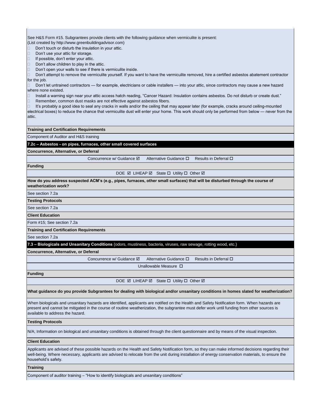See H&S Form #15. Subgrantees provide clients with the following guidance when vermiculite is present: (List created by http://www.greenbuildingadvisor.com)

 $\Box$  Don't touch or disturb the insulation in your attic.

- $\Box$  Don't use your attic for storage.
- $\Box$  If possible, don't enter your attic.
- $\Box$  Don't allow children to play in the attic.
- Don't open your walls to see if there is vermiculite inside.

 Don't attempt to remove the vermiculite yourself. If you want to have the vermiculite removed, hire a certified asbestos abatement contractor for the job.

 Don't let untrained contractors — for example, electricians or cable installers — into your attic, since contractors may cause a new hazard where none existed.

Install a warning sign near your attic access hatch reading, "Cancer Hazard: Insulation contains asbestos. Do not disturb or create dust."

Remember, common dust masks are not effective against asbestos fibers.

 It's probably a good idea to seal any cracks in walls and/or the ceiling that may appear later (for example, cracks around ceiling-mounted electrical boxes) to reduce the chance that vermiculite dust will enter your home. This work should only be performed from below — never from the attic.

**Training and Certification Requirements**

Component of Auditor and H&S training

**7.2c – Asbestos - on pipes, furnaces, other small covered surfaces**

**Concurrence, Alternative, or Deferral**

Concurrence w/ Guidance  $\boxtimes$  Alternative Guidance  $\Box$  Results in Deferral  $\Box$ 

**Funding**

DOE Ø LIHEAP Ø State □ Utility □ Other Ø

**How do you address suspected ACM's (e.g., pipes, furnaces, other small surfaces) that will be disturbed through the course of weatherization work?**

See section 7.2a

#### **Testing Protocols**

See section 7.2a

#### **Client Education**

Form #15; See section 7.2a

**Training and Certification Requirements**

See section 7.2a

**7.3 – Biologicals and Unsanitary Conditions** (odors, mustiness, bacteria, viruses, raw sewage, rotting wood, etc.)

**Concurrence, Alternative, or Deferral**

Concurrence w/ Guidance Ø Alternative Guidance □ Results in Deferral □

Unallowable Measure

**Funding**

DOE **Ø LIHEAP Ø** State **□ Utility □ Other Ø** 

**What guidance do you provide Subgrantees for dealing with biological and/or unsanitary conditions in homes slated for weatherization?**

When biologicals and unsanitary hazards are identified, applicants are notified on the Health and Safety Notification form. When hazards are present and cannot be mitigated in the course of routine weatherization, the subgrantee must defer work until funding from other sources is available to address the hazard.

#### **Testing Protocols**

N/A; Information on biological and unsanitary conditions is obtained through the client questionnaire and by means of the visual inspection.

#### **Client Education**

Applicants are advised of these possible hazards on the Health and Safety Notification form, so they can make informed decisions regarding their well-being. Where necessary, applicants are advised to relocate from the unit during installation of energy conservation materials, to ensure the household's safety.

#### **Training**

Component of auditor training – "How to identify biologicals and unsanitary conditions"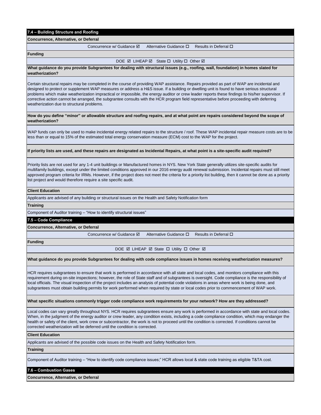### **7.4 – Building Structure and Roofing**

**Concurrence, Alternative, or Deferral**

Concurrence w/ Guidance **Ø** Alternative Guidance **D** Results in Deferral **D** 

**Funding**

DOE **Ø LIHEAP Ø** State **□ Utility □ Other Ø** 

**What guidance do you provide Subgrantees for dealing with structural issues (e.g., roofing, wall, foundation) in homes slated for weatherization?**

Certain structural repairs may be completed in the course of providing WAP assistance. Repairs provided as part of WAP are incidental and designed to protect or supplement WAP measures or address a H&S issue. If a building or dwelling unit is found to have serious structural problems which make weatherization impractical or impossible, the energy auditor or crew leader reports these findings to his/her supervisor. If corrective action cannot be arranged, the subgrantee consults with the HCR program field representative before proceeding with deferring weatherization due to structural problems.

**How do you define "minor" or allowable structure and roofing repairs, and at what point are repairs considered beyond the scope of weatherization?**

WAP funds can only be used to make incidental energy related repairs to the structure / roof. These WAP incidental repair measure costs are to be less than or equal to 15% of the estimated total energy conservation measure (ECM) cost to the WAP for the project.

#### **If priority lists are used, and these repairs are designated as Incidental Repairs, at what point is a site-specific audit required?**

Priority lists are not used for any 1-4 unit buildings or Manufactured homes in NYS. New York State generally utilizes site-specific audits for multifamily buildings, except under the limited conditions approved in our 2016 energy audit renewal submission. Incidental repairs must still meet approved program criteria for IRMs. However, if the project does not meet the criteria for a priority list building, then it cannot be done as a priority list project and would therefore require a site specific audit.

#### **Client Education**

Applicants are advised of any building or structural issues on the Health and Safety Notification form

#### **Training**

Component of Auditor training – "How to identify structural issues"

#### **7.5 – Code Compliance**

**Concurrence, Alternative, or Deferral**

Concurrence w/ Guidance Alternative Guidance Results in Deferral

**Funding**

DOE **Ø LIHEAP Ø State □ Utility □ Other Ø** 

#### **What guidance do you provide Subgrantees for dealing with code compliance issues in homes receiving weatherization measures?**

HCR requires subgrantees to ensure that work is performed in accordance with all state and local codes, and monitors compliance with this requirement during on-site inspections; however, the role of State staff and of subgrantees is oversight. Code compliance is the responsibility of local officials. The visual inspection of the project includes an analysis of potential code violations in areas where work is being done, and subgrantees must obtain building permits for work performed when required by state or local codes prior to commencement of WAP work.

#### **What specific situations commonly trigger code compliance work requirements for your network? How are they addressed?**

Local codes can vary greatly throughout NYS. HCR requires subgrantees ensure any work is performed in accordance with state and local codes. When, in the judgment of the energy auditor or crew leader, any condition exists, including a code compliance condition, which may endanger the health or safety of the client, work crew or subcontractor, the work is not to proceed until the condition is corrected. If conditions cannot be corrected weatherization will be deferred until the condition is corrected.

#### **Client Education**

Applicants are advised of the possible code issues on the Health and Safety Notification form.

#### **Training**

Component of Auditor training – "How to identify code compliance issues;" HCR allows local & state code training as eligible T&TA cost.

#### **7.6 – Combustion Gases**

**Concurrence, Alternative, or Deferral**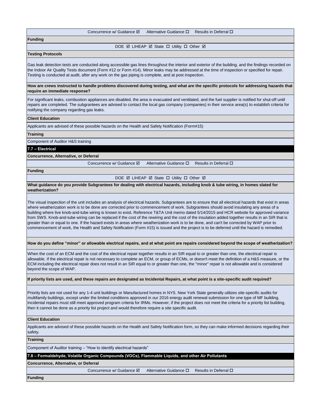#### Concurrence w/ Guidance  $\boxtimes$  Alternative Guidance  $\Box$  Results in Deferral  $\Box$

**Funding**

DOE Ø LIHEAP Ø State □ Utility □ Other Ø

#### **Testing Protocols**

Gas leak detection tests are conducted along accessible gas lines throughout the interior and exterior of the building, and the findings recorded on the Indoor Air Quality Tests document (Form #12 or Form #14). Minor leaks may be addressed at the time of inspection or specified for repair. Testing is conducted at audit, after any work on the gas piping is complete, and at post inspection.

**How are crews instructed to handle problems discovered during testing, and what are the specific protocols for addressing hazards that require an immediate response?**

For significant leaks, combustion appliances are disabled, the area is evacuated and ventilated, and the fuel supplier is notified for shut-off until repairs are completed. The subgrantees are advised to contact the local gas company (companies) in their service area(s) to establish criteria for notifying the company regarding gas leaks.

#### **Client Education**

Applicants are advised of these possible hazards on the Health and Safety Notification (Form#15)

**Training**

Component of Auditor H&S training

#### **7.7 – Electrical**

**Concurrence, Alternative, or Deferral**

Concurrence w/ Guidance  $\boxtimes$  Alternative Guidance  $\Box$  Results in Deferral  $\Box$ 

**Funding**

DOE Ø LIHEAP Ø State □ Utility □ Other Ø

**What guidance do you provide Subgrantees for dealing with electrical hazards, including knob & tube wiring, in homes slated for weatherization?**

The visual inspection of the unit includes an analysis of electrical hazards. Subgrantees are to ensure that all electrical hazards that exist in areas where weatherization work is to be done are corrected prior to commencement of work. Subgrantees should avoid insulating any areas of a building where live knob-and-tube wiring is known to exist. Reference T&TA Unit memo dated 5/14/2015 and HCR website for approved variance from SWS. Knob-and-tube wiring can be replaced if the cost of the rewiring and the cost of the insulation added together results in an SIR that is greater than or equal to one. If the hazard exists in areas where weatherization work is to be done, and can't be corrected by WAP prior to commencement of work, the Health and Safety Notification (Form #15) is issued and the project is to be deferred until the hazard is remedied.

**How do you define "minor" or allowable electrical repairs, and at what point are repairs considered beyond the scope of weatherization?**

When the cost of an ECM and the cost of the electrical repair together results in an SIR equal to or greater than one, the electrical repair is allowable. If the electrical repair is not necessary to complete an ECM, or group of ECMs, or doesn't meet the definition of a H&S measure, or the ECM including the electrical repair does not result in an SIR equal to or greater than one, the "minor" repair is not allowable and is considered beyond the scope of WAP.

#### **If priority lists are used, and these repairs are designated as Incidental Repairs, at what point is a site-specific audit required?**

Priority lists are not used for any 1-4 unit buildings or Manufactured homes in NYS. New York State generally utilizes site-specific audits for multifamily buildings, except under the limited conditions approved in our 2016 energy audit renewal submission for one type of MF building. Incidental repairs must still meet approved program criteria for IRMs. However, if the project does not meet the criteria for a priority list building, then it cannot be done as a priority list project and would therefore require a site specific audit.

#### **Client Education**

Applicants are advised of these possible hazards on the Health and Safety Notification form, so they can make informed decisions regarding their safety.

**Training**

Component of Auditor training – "How to identify electrical hazards"

**7.8 – Formaldehyde, Volatile Organic Compounds (VOCs), Flammable Liquids, and other Air Pollutants**

#### **Concurrence, Alternative, or Deferral**

Concurrence w/ Guidance Ø Alternative Guidance □ Results in Deferral □

**Funding**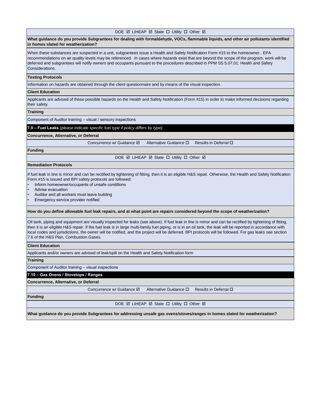#### DOE **Ø LIHEAP Ø State □ Utility □ Other Ø**

**What guidance do you provide Subgrantees for dealing with formaldehyde, VOCs, flammable liquids, and other air pollutants identified in homes slated for weatherization?**

When these substances are suspected in a unit, subgrantees issue a Health and Safety Notification Form #15 to the homeowner. EPA recommendations on air quality levels may be referenced. In cases where hazards exist that are beyond the scope of the program, work will be deferred and subgrantees will notify owners and occupants pursuant to the procedures described in PPM SS 5.07.01: Health and Safety Considerations.

#### **Testing Protocols**

Information on hazards are obtained through the client questionnaire and by means of the visual inspection.

#### **Client Education**

Applicants are advised of these possible hazards on the Health and Safety Notification (Form #15) in order to make informed decisions regarding their safety.

#### **Training**

Component of Auditor training – visual / sensory inspections

**7.9 – Fuel Leaks** *(please indicate specific fuel type if policy differs by type)*

#### **Concurrence, Alternative, or Deferral**

Concurrence w/ Guidance  $\boxtimes$  Alternative Guidance  $\Box$  Results in Deferral  $\Box$ 

#### **Funding**

DOE **Ø LIHEAP Ø State □ Utility □ Other Ø** 

#### **Remediation Protocols**

If fuel leak in line is minor and can be rectified by tightening of fitting, then it is an eligible H&S repair. Otherwise, the Health and Safety Notification Form #15 is issued and BPI safety protocols are followed:

- Inform homeowner/occupants of unsafe conditions
- Advise evacuation
- Auditor and all workers must leave building
- Emergency service provider notified

#### **How do you define allowable fuel leak repairs, and at what point are repairs considered beyond the scope of weatherization?**

Oil tank, piping and equipment are visually inspected for leaks (see above). If fuel leak in line is minor and can be rectified by tightening of fitting, then it is an eligible H&S repair. If the fuel leak is in large multi-family fuel piping, or is in an oil tank, the leak will be reported in accordance with local codes and jurisdictions, the owner will be notified, and the project will be deferred. BPI protocols will be followed. For gas leaks see section 7.6 of the H&S Plan, Combustion Gases.

#### **Client Education**

Applicants and/or owners are advised of leak/spill on the Health and Safety Notification form

**Training**

Component of Auditor training – visual inspections

#### **7.10 – Gas Ovens / Stovetops / Ranges**

#### **Concurrence, Alternative, or Deferral**

Concurrence w/ Guidance **Ø** Alternative Guidance **D** Results in Deferral D

#### **Funding**

DOE **Ø LIHEAP Ø State □ Utility □ Other Ø** 

**What guidance do you provide Subgrantees for addressing unsafe gas ovens/stoves/ranges in homes slated for weatherization?**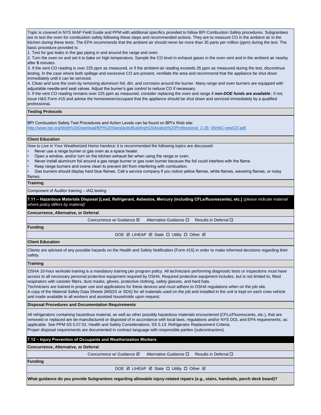Topic is covered in NYS WAP Field Guide and PPM with additional specifics provided to follow BPI Combustion Safety procedures. Subgrantees are to test the oven for combustion safety following these steps and recommended actions. They are to measure CO in the ambient air in the kitchen during these tests. The EPA recommends that the ambient air should never be more than 35 parts per million (ppm) during the test. The basic procedure provided is:

1. Test for gas leaks in the gas piping in and around the range and oven.

2. Turn the oven on and set it to bake on high temperature. Sample the CO level in exhaust gases in the oven vent and in the ambient air nearby after **5** minutes.

3. If the vent CO reading is over 225 ppm as measured, or if the ambient-air reading exceeds 35 ppm as measured during the test, discontinue testing. In the case where both spillage and excessive CO are present, ventilate the area and recommend that the appliance be shut down immediately until it can be serviced.

4. Clean and tune the oven by removing aluminum foil, dirt, and corrosion around the burner. Many range and oven burners are equipped with adjustable needle-and seat valves. Adjust the burner's gas control to reduce CO if necessary.

5. If the vent CO reading remains over 225 ppm as measured, consider replacing the oven and range if *non-DOE funds are available* ; if not, issue H&S Form #15 and advise the homeowner/occupant that the appliance should be shut down and serviced immediately by a qualified professional*.*

#### **Testing Protocols**

[BPI](http://www.bpi.org/Web Download/BPI Standards/Building Analyst Professional_2-28-05nNC-newCO.pdf) Combustion Safety Test Procedures and Action Levels can be found on BPI's Web site:

[http://www.bpi.org/Web%20Download/BPI%20Standards/Building%20Analyst%20Professional\\_2-28-](http://www.bpi.org/Web Download/BPI Standards/Building Analyst Professional_2-28-05nNC-newCO.pdf) 05nNC-newCO.pdf.

#### **Client Education**

How to Live in Your Weatherized Home handout; it is recommended the following topics are discussed:

- Never use a range burner or gas oven as a space heater.
- Open a window, and/or turn on the kitchen exhaust fan when using the range or oven.
- Never install aluminum foil around a gas range burner or gas oven burner because the foil could interfere with the flame.
- Keep range burners and ovens clean to prevent dirt from interfering with combustion.
- Gas burners should display hard blue flames. Call a service company if you notice yellow flames, white flames, wavering flames, or noisy flames.

#### **Training**

Component of Auditor training – IAQ testing

**7.11 – Hazardous Materials Disposal [Lead, Refrigerant, Asbestos, Mercury (including CFLs/fluorescents), etc.]** *(please indicate material where policy differs by material)*

#### **Concurrence, Alternative, or Deferral**

Concurrence w/ Guidance  $\boxtimes$  Alternative Guidance  $\Box$  Results in Deferral  $\Box$ 

### **Funding**

DOE **Ø LIHEAP Ø State □ Utility □ Other Ø** 

#### **Client Education**

Clients are advised of any possible hazards on the Health and Safety Notification (Form #15) in order to make informed decisions regarding their safety.

#### **Training**

OSHA 10-hour worksite training is a mandatory training per program policy. All technicians performing diagnostic tests or inspections must have access to all necessary personal protective equipment required by OSHA. Required protective equipment includes, but is not limited to, fitted respirators with canister filters, dust masks, gloves, protective clothing, safety glasses, and hard hats.

Technicians are trained in proper use and applications for these devices and must adhere to OSHA regulations when on the job site. A copy of the Material Safety Data Sheets (MSDS or SDS) for all materials used on the job and installed in the unit is kept on each crew vehicle and made available to all workers and assisted households upon request.

#### **Disposal Procedures and Documentation Requirements**

All refrigerators containing hazardous material, as well as other possibly hazardous materials encountered (CFLs/Fluorescents, etc.), that are removed or replaced are de-manufactured or disposed of in accordance with local laws, regulations and/or NYS DOL and EPA requirements, as applicable. See PPM SS 5.07.01: Health and Safety Considerations; SS 5.13: Refrigerator Replacement Criteria. Proper disposal requirements are documented in contract language with responsible parties (subcontractors).

#### **7.12 – Injury Prevention of Occupants and Weatherization Workers**

**Concurrence, Alternative, or Deferral**

Concurrence w/ Guidance Ø Alternative Guidance □ Results in Deferral □

#### **Funding**

DOE **Ø LIHEAP Ø State □ Utility □ Other Ø** 

**What guidance do you provide Subgrantees regarding allowable injury-related repairs (e.g., stairs, handrails, porch deck board)?**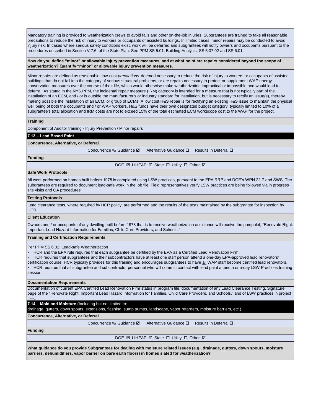Mandatory training is provided to weatherization crews to avoid falls and other on-the-job injuries. Subgrantees are trained to take all reasonable precautions to reduce the risk of injury to workers or occupants of assisted buildings. In limited cases, minor repairs may be conducted to avoid injury risk. In cases where serious safety conditions exist, work will be deferred and subgrantees will notify owners and occupants pursuant to the procedures described in Section V.7.6, of the State Plan. See PPM SS 5.01: Building Analysis, SS 5.07.02 and SS 6.01.

**How do you define "minor" or allowable injury prevention measures, and at what point are repairs considered beyond the scope of weatherization? Quantify "minor" or allowable injury prevention measures.**

Minor repairs are defined as reasonable, low-cost *precautions* deemed necessary to reduce the risk of injury to workers or occupants of assisted buildings that do not fall into the category of serious structural problems, or are repairs necessary to protect or supplement WAP energy conservation measures over the course of their life, which would otherwise make weatherization impractical or impossible and would lead to deferral. As stated in the NYS PPM, the incidental repair measure (IRM) category is intended for a measure that is not typically part of the installation of an ECM, and / or is outside the manufacturer's or industry standard for installation, but is necessary to rectify an issue(s), thereby making possible the installation of an ECM, or group of ECMs. A low cost H&S repair is for rectifying an existing H&S issue to maintain the physical well being of both the occupants and / or WAP workers. H&S funds have their own designated budget category, typically limited to 10% of a subgrantee's total allocation and IRM costs are not to exceed 15% of the total estimated ECM workscope cost to the WAP for the project.

#### **Training**

Component of Auditor training - Injury Prevention / Minor repairs

### **7.13 – Lead Based Paint**

#### **Concurrence, Alternative, or Deferral**

Concurrence w/ Guidance **Ø** Alternative Guidance **D** Results in Deferral **D** 

**Funding**

DOE Ø LIHEAP Ø State □ Utility □ Other Ø

#### **Safe Work Protocols**

All work performed on homes built before 1978 is completed using LSW practices, pursuant to the EPA RRP and DOE's WPN 22-7 and SWS. The subgrantees are required to document lead-safe work in the job file. Field representatives verify LSW practices are being followed via in progress site visits and QA procedures.

#### **Testing Protocols**

Lead clearance tests, where required by HCR policy, are performed and the results of the tests maintained by the subgrantee for inspection by HCR.

#### **Client Education**

Owners and / or occupants of any dwelling built before 1978 that is to receive weatherization assistance will receive the pamphlet, "Renovate Right: Important Lead Hazard Information for Families, Child Care Providers, and Schools."

#### **Training and Certification Requirements**

Per PPM SS 6.02: Lead-safe Weatherization

- HCR and the EPA rule requires that each subgrantee be certified by the EPA as a Certified Lead Renovation Firm.
- HCR requires that subgrantees and their subcontractors have at least one staff person attend a one-day EPA-approved lead renovators'

certification course. HCR typically provides for this training and encourages subgrantees to have all WAP staff become certified lead renovators. • HCR requires that all subgrantee and subcontractor personnel who will come in contact with lead paint attend a one-day LSW Practices training

session.

#### **Documentation Requirements**

Documentation of current EPA Certified Lead Renovation Firm status in program file; documentation of any Lead Clearance Testing, Signature page of the "Renovate Right: Important Lead Hazard Information for Families, Child Care Providers, and Schools," and of LSW practices in project files

**7.14 – Mold and Moisture** (Including but not limited to:

drainage, gutters, down spouts, extensions, flashing, sump pumps, landscape, vapor retarders, moisture barriers, etc.)

#### **Concurrence, Alternative, or Deferral**

Concurrence w/ Guidance Ø Alternative Guidance □ Results in Deferral □

#### **Funding**

DOE Ø LIHEAP Ø State □ Utility □ Other Ø

**What guidance do you provide Subgrantees for dealing with moisture related issues (e.g., drainage, gutters, down spouts, moisture barriers, dehumidifiers, vapor barrier on bare earth floors) in homes slated for weatherization?**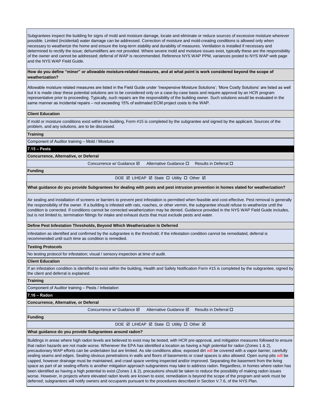Subgrantees inspect the building for signs of mold and moisture damage, locate and eliminate or reduce sources of excessive moisture wherever possible. Limited (incidental) water damage can be addressed. Correction of moisture and mold-creating conditions is allowed only when necessary to weatherize the home and ensure the long-term stability and durability of measures. Ventilation is installed if necessary and determined to rectify the issue; dehumidifiers are not provided. Where severe mold and moisture issues exist, typically these are the responsibility of the owner and cannot be addressed; deferral of WAP is recommended. Reference NYS WAP PPM, variances posted to NYS WAP web page and the NYS WAP Field Guide.

#### **How do you define "minor" or allowable moisture-related measures, and at what point is work considered beyond the scope of weatherization?**

Allowable moisture related measures are listed in the Field Guide under 'Inexpensive Moisture Solutions'; 'More Costly Solutions' are listed as well but it is made clear these potential solutions are to be considered only on a case-by-case basis and require approval by an HCR program representative prior to proceeding. Typically, such repairs are the responsibility of the building owner. Such solutions would be evaluated in the same manner as incidental repairs – not exceeding 15% of estimated ECM project costs to the WAP.

#### **Client Education**

If mold or moisture conditions exist within the building, Form #15 is completed by the subgrantee and signed by the applicant. Sources of the problem, and any solutions, are to be discussed.

#### **Training**

Component of Auditor training – Mold / Moisture

#### **7.15 – Pests**

**Concurrence, Alternative, or Deferral**

Concurrence w/ Guidance **Ø** Alternative Guidance **D** Results in Deferral **D** 

**Funding**

DOE Ø LIHEAP Ø State □ Utility □ Other Ø

#### **What guidance do you provide Subgrantees for dealing with pests and pest intrusion prevention in homes slated for weatherization?**

Air sealing and installation of screens or barriers to prevent pest infestation is permitted when feasible and cost-effective. Pest removal is generally the responsibility of the owner. If a building is infested with rats, roaches, or other vermin, the subgrantee should refuse to weatherize until the condition is corrected. If conditions cannot be corrected weatherization may be denied. Guidance provided in the NYS WAP Field Guide includes, but is not limited to, termination fittings for intake and exhaust ducts that must exclude pests and water.

#### **Define Pest Infestation Thresholds, Beyond Which Weatherization Is Deferred**

Infestation as identified and confirmed by the subgrantee is the threshold; if the infestation condition cannot be remediated, deferral is recommended until such time as condition is remedied.

#### **Testing Protocols**

No testing protocol for infestation; visual / sensory inspection at time of audit.

#### **Client Education**

If an infestation condition is identified to exist within the building, Health and Safety Notification Form #15 is completed by the subgrantee, signed by the client and deferral is explained.

### **Training**

Component of Auditor training – Pests / Infestation

#### **7.16 – Radon**

**Concurrence, Alternative, or Deferral**

Concurrence w/ Guidance **Ø** Alternative Guidance Ø Results in Deferral □

### **Funding**

DOE **Ø LIHEAP Ø State □ Utility □ Other Ø** 

#### **What guidance do you provide Subgrantees around radon?**

Buildings in areas where high radon levels are believed to exist may be tested, with HCR pre-approval, and mitigation measures followed to ensure that radon hazards are not made worse. Whenever the EPA has identified a location as having a high potential for radon (Zones 1 & 2), precautionary WAP efforts can be undertaken but are limited. As site conditions allow, exposed dirt will be covered with a vapor barrier, carefully sealing seams and edges. Sealing obvious penetrations in walls and floors of basements or crawl spaces is also allowed. Open sump pits will be capped, however drainage must be maintained, and crawl space venting inspected and/or improved. Separating the basement from the living space as part of air sealing efforts is another mitigation approach subgrantees may take to address radon. Regardless, in homes where radon has been identified as having a high potential to exist (Zones 1 & 2), precautions should be taken to reduce the possibility of making radon issues worse. However, in projects where elevated radon levels are known to exist, remediation is beyond the scope of the program and work must be deferred; subgrantees will notify owners and occupants pursuant to the procedures described in Section V.7.6, of the NYS Plan.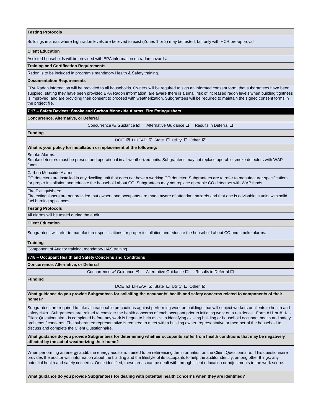#### **Testing Protocols**

Buildings in areas where high radon levels are believed to exist (Zones 1 or 2) may be tested, but only with HCR pre-approval.

#### **Client Education**

Assisted households will be provided with EPA information on radon hazards.

#### **Training and Certification Requirements**

Radon is to be included in program's mandatory Health & Safety training.

#### **Documentation Requirements**

EPA Radon information will be provided to all households. Owners will be required to sign an informed consent form, that subgrantees have been supplied, stating they have been provided EPA Radon information, are aware there is a small risk of increased radon levels when building tightness is improved, and are providing their consent to proceed with weatherization. Subgrantees will be required to maintain the signed consent forms in the project file.

#### **7.17 – Safety Devices: Smoke and Carbon Monoxide Alarms, Fire Extinguishers**

#### **Concurrence, Alternative, or Deferral**

Concurrence w/ Guidance  $\overline{M}$  Alternative Guidance  $\Pi$  Results in Deferral  $\Pi$ 

**Funding**

DOE Ø LIHEAP Ø State □ Utility □ Other Ø

#### **What is your policy for installation or replacement of the following:**

Smoke Alarms:

Smoke detectors must be present and operational in all weatherized units. Subgrantees may not replace operable smoke detectors with WAP funds.

Carbon Monoxide Alarms:

CO detectors are installed in any dwelling unit that does not have a working CO detector. Subgrantees are to refer to manufacturer specifications for proper installation and educate the household about CO. Subgrantees may not replace operable CO detectors with WAP funds.

#### Fire Extinguishers:

Fire extinguishers are not provided, but owners and occupants are made aware of attendant hazards and that one is advisable in units with solid fuel burning appliances.

#### **Testing Protocols**

All alarms will be tested during the audit

#### **Client Education**

Subgrantees will refer to manufacturer specifications for proper installation and educate the household about CO and smoke alarms.

#### **Training**

Component of Auditor training; mandatory H&S training

#### **7.18 – Occupant Health and Safety Concerns and Conditions**

**Concurrence, Alternative, or Deferral**

Concurrence w/ Guidance  $\boxtimes$  Alternative Guidance  $\Box$  Results in Deferral  $\Box$ 

#### **Funding**

DOE **Ø LIHEAP Ø State □ Utility □ Other Ø** 

**What guidance do you provide Subgrantees for soliciting the occupants' health and safety concerns related to components of their homes?**

Subgrantees are required to take all reasonable precautions against performing work on buildings that will subject workers or clients to health and safety risks. Subgrantees are trained to consider the health concerns of each occupant prior to initiating work on a residence. Form #11 or #11a -Client Questionnaire - is completed before any work is begun to help assist in identifying existing building or household occupant health and safety problems / concerns. The subgrantee representative is required to meet with a building owner, representative or member of the household to discuss and complete the Client Questionnaire.

**What guidance do you provide Subgrantees for determining whether occupants suffer from health conditions that may be negatively affected by the act of weatherizing their home?**

When performing an energy audit, the energy auditor is trained to be referencing the information on the Client Questionnaire. This questionnaire provides the auditor with information about the building and the lifestyle of its occupants to help the auditor identify, among other things, any potential health and safety concerns. Once identified, these areas can be dealt with through client education or adjustments to the work scope.

**What guidance do you provide Subgrantees for dealing with potential health concerns when they are identified?**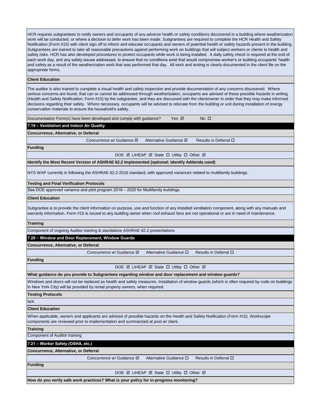HCR requires subgrantees to notify owners and occupants of any adverse health or safety conditions discovered in a building where weatherization work will be conducted, or where a decision to defer work has been made. Subgrantees are required to complete the HCR Health and Safety Notification (Form #15) with client sign off to inform and educate occupants and owners of potential health or safety hazards present in the building. Subgrantees are trained to take all reasonable precautions against performing work on buildings that will subject workers or clients to health and safety risks. HCR has also developed procedures to protect occupants while work is being installed. A daily safety check is required at the end of each work day, and any safety issues addressed, to ensure that no conditions exist that would compromise worker's or building occupants' health and safety as a result of the weatherization work that was performed that day. All work and testing is clearly documented in the client file on the appropriate forms.

#### **Client Education**

The auditor is also trained to complete a visual health and safety inspection and provide documentation of any concerns discovered. Where serious concerns are found, that can or cannot be addressed through weatherization, occupants are advised of these possible hazards in writing (Health and Safety Notification; Form #15) by the subgrantee, and they are discussed with the client/owner in order that they may make informed decisions regarding their safety. Where necessary, occupants will be advised to relocate from the building or unit during installation of energy conservation materials to ensure the household's safety.

|  |  |  | Documentation Form(s) have been developed and comply with guidance? | Yes ⊠ | $No$ $\Box$ |
|--|--|--|---------------------------------------------------------------------|-------|-------------|
|--|--|--|---------------------------------------------------------------------|-------|-------------|

**7.19 – Ventilation and Indoor Air Quality**

**Concurrence, Alternative, or Deferral**

Concurrence w/ Guidance  $\boxtimes$  Alternative Guidance  $\boxtimes$  Results in Deferral  $\square$ 

**Funding**

DOE **Ø LIHEAP Ø State □ Utility □ Other Ø** 

**Identify the Most Recent Version of ASHRAE 62.2 Implemented (optional: identify Addenda used)**

NYS WAP currently is following the ASHRAE 62.2-2016 standard, with approved variances related to multifamily buildings.

#### **Testing and Final Verification Protocols**

See DOE approved variance and pilot program 2018 – 2020 for Multifamily buildings.

#### **Client Education**

Subgrantee is to provide the client information on purpose, use and function of any installed ventilation component, along with any manuals and warranty information. Form #15 is issued to any building owner when roof exhaust fans are not operational or are in need of maintenance.

#### **Training**

Component of ongoing Auditor training & standalone ASHRAE 62.2 presentations

#### **7.20 – Window and Door Replacement, Window Guards**

**Concurrence, Alternative, or Deferral**

Concurrence w/ Guidance  $\boxtimes$  Alternative Guidance  $\Box$  Results in Deferral  $\Box$ 

**Funding**

DOE **Ø LIHEAP Ø State □ Utility □ Other Ø** 

#### **What guidance do you provide to Subgrantees regarding window and door replacement and window guards?**

Windows and doors will not be replaced as health and safety measures. Installation of window guards (which is often required by code on buildings in New York City) will be provided by rental property owners, when required.

#### **Testing Protocols**

N/A

#### **Client Education**

When applicable, owners and applicants are advised of possible hazards on the Health and Safety Notification (Form #15). Workscope components are reviewed prior to implementation and summarized at post w/ client.

#### **Training**

Component of Auditor training

#### **7.21 – Worker Safety (OSHA, etc.)**

**Concurrence, Alternative, or Deferral**

Concurrence w/ Guidance Ø Alternative Guidance □ Results in Deferral □

#### **Funding**

DOE Ø LIHEAP Ø State □ Utility □ Other Ø

**How do you verify safe work practices? What is your policy for in-progress monitoring?**